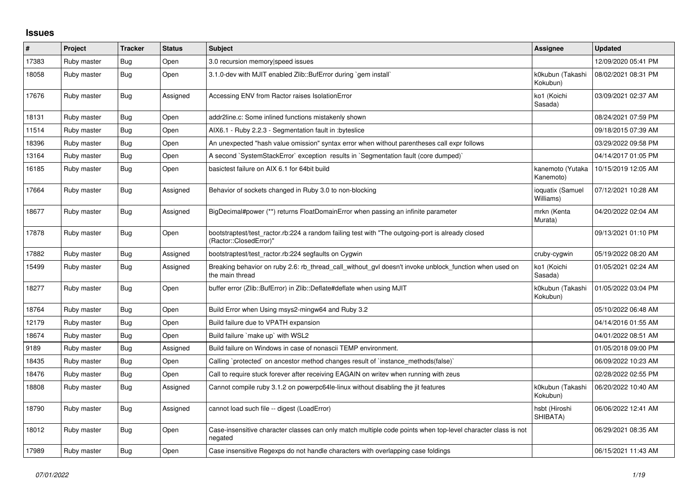## **Issues**

| #     | Project     | <b>Tracker</b> | <b>Status</b> | <b>Subject</b>                                                                                                             | <b>Assignee</b>               | <b>Updated</b>      |
|-------|-------------|----------------|---------------|----------------------------------------------------------------------------------------------------------------------------|-------------------------------|---------------------|
| 17383 | Ruby master | Bug            | Open          | 3.0 recursion memory speed issues                                                                                          |                               | 12/09/2020 05:41 PM |
| 18058 | Ruby master | <b>Bug</b>     | Open          | 3.1.0-dev with MJIT enabled Zlib::BufError during `gem install`                                                            | k0kubun (Takashi<br>Kokubun)  | 08/02/2021 08:31 PM |
| 17676 | Ruby master | <b>Bug</b>     | Assigned      | Accessing ENV from Ractor raises IsolationError                                                                            | ko1 (Koichi<br>Sasada)        | 03/09/2021 02:37 AM |
| 18131 | Ruby master | <b>Bug</b>     | Open          | addr2line.c: Some inlined functions mistakenly shown                                                                       |                               | 08/24/2021 07:59 PM |
| 11514 | Ruby master | <b>Bug</b>     | Open          | AIX6.1 - Ruby 2.2.3 - Segmentation fault in : byteslice                                                                    |                               | 09/18/2015 07:39 AM |
| 18396 | Ruby master | Bug            | Open          | An unexpected "hash value omission" syntax error when without parentheses call expr follows                                |                               | 03/29/2022 09:58 PM |
| 13164 | Ruby master | <b>Bug</b>     | Open          | A second `SystemStackError` exception results in `Segmentation fault (core dumped)`                                        |                               | 04/14/2017 01:05 PM |
| 16185 | Ruby master | Bug            | Open          | basictest failure on AIX 6.1 for 64bit build                                                                               | kanemoto (Yutaka<br>Kanemoto) | 10/15/2019 12:05 AM |
| 17664 | Ruby master | <b>Bug</b>     | Assigned      | Behavior of sockets changed in Ruby 3.0 to non-blocking                                                                    | ioquatix (Samuel<br>Williams) | 07/12/2021 10:28 AM |
| 18677 | Ruby master | <b>Bug</b>     | Assigned      | BigDecimal#power (**) returns FloatDomainError when passing an infinite parameter                                          | mrkn (Kenta<br>Murata)        | 04/20/2022 02:04 AM |
| 17878 | Ruby master | <b>Bug</b>     | Open          | bootstraptest/test_ractor.rb:224 a random failing test with "The outgoing-port is already closed<br>(Ractor::ClosedError)" |                               | 09/13/2021 01:10 PM |
| 17882 | Ruby master | <b>Bug</b>     | Assigned      | bootstraptest/test ractor.rb:224 segfaults on Cygwin                                                                       | cruby-cygwin                  | 05/19/2022 08:20 AM |
| 15499 | Ruby master | <b>Bug</b>     | Assigned      | Breaking behavior on ruby 2.6: rb_thread_call_without_gvl doesn't invoke unblock_function when used on<br>the main thread  | ko1 (Koichi<br>Sasada)        | 01/05/2021 02:24 AM |
| 18277 | Ruby master | <b>Bug</b>     | Open          | buffer error (Zlib::BufError) in Zlib::Deflate#deflate when using MJIT                                                     | k0kubun (Takashi<br>Kokubun)  | 01/05/2022 03:04 PM |
| 18764 | Ruby master | <b>Bug</b>     | Open          | Build Error when Using msys2-mingw64 and Ruby 3.2                                                                          |                               | 05/10/2022 06:48 AM |
| 12179 | Ruby master | <b>Bug</b>     | Open          | Build failure due to VPATH expansion                                                                                       |                               | 04/14/2016 01:55 AM |
| 18674 | Ruby master | Bug            | Open          | Build failure `make up` with WSL2                                                                                          |                               | 04/01/2022 08:51 AM |
| 9189  | Ruby master | Bug            | Assigned      | Build failure on Windows in case of nonascii TEMP environment.                                                             |                               | 01/05/2018 09:00 PM |
| 18435 | Ruby master | <b>Bug</b>     | Open          | Calling `protected` on ancestor method changes result of `instance_methods(false)`                                         |                               | 06/09/2022 10:23 AM |
| 18476 | Ruby master | <b>Bug</b>     | Open          | Call to require stuck forever after receiving EAGAIN on writev when running with zeus                                      |                               | 02/28/2022 02:55 PM |
| 18808 | Ruby master | <b>Bug</b>     | Assigned      | Cannot compile ruby 3.1.2 on powerpc64le-linux without disabling the jit features                                          | k0kubun (Takashi<br>Kokubun)  | 06/20/2022 10:40 AM |
| 18790 | Ruby master | Bug            | Assigned      | cannot load such file -- digest (LoadError)                                                                                | hsbt (Hiroshi<br>SHIBATA)     | 06/06/2022 12:41 AM |
| 18012 | Ruby master | <b>Bug</b>     | Open          | Case-insensitive character classes can only match multiple code points when top-level character class is not<br>negated    |                               | 06/29/2021 08:35 AM |
| 17989 | Ruby master | <b>Bug</b>     | Open          | Case insensitive Regexps do not handle characters with overlapping case foldings                                           |                               | 06/15/2021 11:43 AM |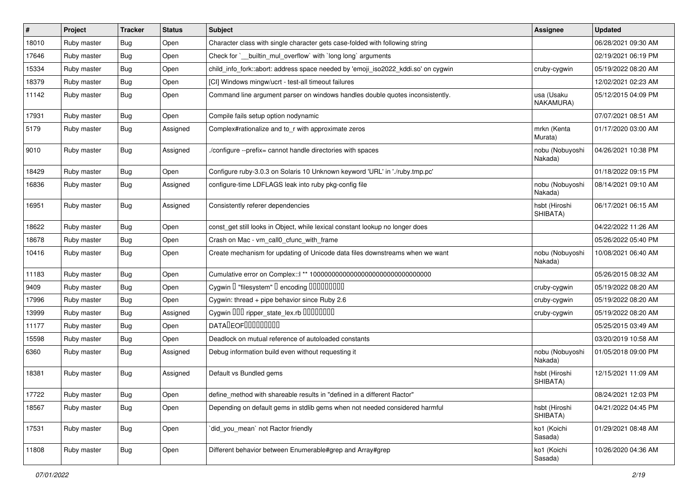| #     | Project     | <b>Tracker</b> | <b>Status</b> | Subject                                                                           | <b>Assignee</b>            | <b>Updated</b>      |
|-------|-------------|----------------|---------------|-----------------------------------------------------------------------------------|----------------------------|---------------------|
| 18010 | Ruby master | Bug            | Open          | Character class with single character gets case-folded with following string      |                            | 06/28/2021 09:30 AM |
| 17646 | Ruby master | Bug            | Open          | Check for `__builtin_mul_overflow` with `long long` arguments                     |                            | 02/19/2021 06:19 PM |
| 15334 | Ruby master | <b>Bug</b>     | Open          | child_info_fork::abort: address space needed by 'emoji_iso2022_kddi.so' on cygwin | cruby-cygwin               | 05/19/2022 08:20 AM |
| 18379 | Ruby master | Bug            | Open          | [CI] Windows mingw/ucrt - test-all timeout failures                               |                            | 12/02/2021 02:23 AM |
| 11142 | Ruby master | Bug            | Open          | Command line argument parser on windows handles double quotes inconsistently.     | usa (Usaku<br>NAKAMURA)    | 05/12/2015 04:09 PM |
| 17931 | Ruby master | <b>Bug</b>     | Open          | Compile fails setup option nodynamic                                              |                            | 07/07/2021 08:51 AM |
| 5179  | Ruby master | Bug            | Assigned      | Complex#rationalize and to_r with approximate zeros                               | mrkn (Kenta<br>Murata)     | 01/17/2020 03:00 AM |
| 9010  | Ruby master | Bug            | Assigned      | /configure --prefix= cannot handle directories with spaces                        | nobu (Nobuyoshi<br>Nakada) | 04/26/2021 10:38 PM |
| 18429 | Ruby master | Bug            | Open          | Configure ruby-3.0.3 on Solaris 10 Unknown keyword 'URL' in './ruby.tmp.pc'       |                            | 01/18/2022 09:15 PM |
| 16836 | Ruby master | Bug            | Assigned      | configure-time LDFLAGS leak into ruby pkg-config file                             | nobu (Nobuyoshi<br>Nakada) | 08/14/2021 09:10 AM |
| 16951 | Ruby master | <b>Bug</b>     | Assigned      | Consistently referer dependencies                                                 | hsbt (Hiroshi<br>SHIBATA)  | 06/17/2021 06:15 AM |
| 18622 | Ruby master | <b>Bug</b>     | Open          | const_get still looks in Object, while lexical constant lookup no longer does     |                            | 04/22/2022 11:26 AM |
| 18678 | Ruby master | <b>Bug</b>     | Open          | Crash on Mac - vm_call0_cfunc_with_frame                                          |                            | 05/26/2022 05:40 PM |
| 10416 | Ruby master | <b>Bug</b>     | Open          | Create mechanism for updating of Unicode data files downstreams when we want      | nobu (Nobuyoshi<br>Nakada) | 10/08/2021 06:40 AM |
| 11183 | Ruby master | Bug            | Open          |                                                                                   |                            | 05/26/2015 08:32 AM |
| 9409  | Ruby master | <b>Bug</b>     | Open          | Cygwin I "filesystem" I encoding IIIIIIIIIIIII                                    | cruby-cygwin               | 05/19/2022 08:20 AM |
| 17996 | Ruby master | Bug            | Open          | Cygwin: thread + pipe behavior since Ruby 2.6                                     | cruby-cygwin               | 05/19/2022 08:20 AM |
| 13999 | Ruby master | Bug            | Assigned      | Cygwin DDD ripper_state_lex.rb DDDDDDDD                                           | cruby-cygwin               | 05/19/2022 08:20 AM |
| 11177 | Ruby master | <b>Bug</b>     | Open          | DATADEOF00000000                                                                  |                            | 05/25/2015 03:49 AM |
| 15598 | Ruby master | <b>Bug</b>     | Open          | Deadlock on mutual reference of autoloaded constants                              |                            | 03/20/2019 10:58 AM |
| 6360  | Ruby master | <b>Bug</b>     | Assigned      | Debug information build even without requesting it                                | nobu (Nobuyoshi<br>Nakada) | 01/05/2018 09:00 PM |
| 18381 | Ruby master | Bug            | Assigned      | Default vs Bundled gems                                                           | hsbt (Hiroshi<br>SHIBATA)  | 12/15/2021 11:09 AM |
| 17722 | Ruby master | Bug            | Open          | define_method with shareable results in "defined in a different Ractor"           |                            | 08/24/2021 12:03 PM |
| 18567 | Ruby master | Bug            | Open          | Depending on default gems in stdlib gems when not needed considered harmful       | hsbt (Hiroshi<br>SHIBATA)  | 04/21/2022 04:45 PM |
| 17531 | Ruby master | <b>Bug</b>     | Open          | did_you_mean' not Ractor friendly                                                 | ko1 (Koichi<br>Sasada)     | 01/29/2021 08:48 AM |
| 11808 | Ruby master | <b>Bug</b>     | Open          | Different behavior between Enumerable#grep and Array#grep                         | ko1 (Koichi<br>Sasada)     | 10/26/2020 04:36 AM |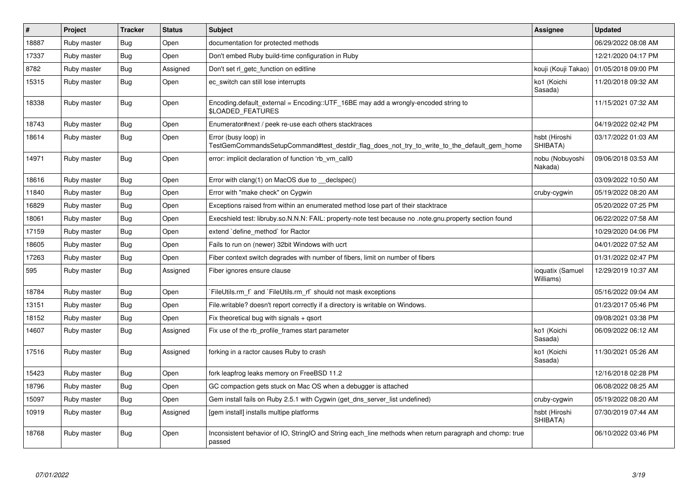| $\sharp$ | <b>Project</b> | <b>Tracker</b> | <b>Status</b> | <b>Subject</b>                                                                                                      | <b>Assignee</b>               | <b>Updated</b>      |
|----------|----------------|----------------|---------------|---------------------------------------------------------------------------------------------------------------------|-------------------------------|---------------------|
| 18887    | Ruby master    | Bug            | Open          | documentation for protected methods                                                                                 |                               | 06/29/2022 08:08 AM |
| 17337    | Ruby master    | <b>Bug</b>     | Open          | Don't embed Ruby build-time configuration in Ruby                                                                   |                               | 12/21/2020 04:17 PM |
| 8782     | Ruby master    | <b>Bug</b>     | Assigned      | Don't set rl_getc_function on editline                                                                              | kouji (Kouji Takao)           | 01/05/2018 09:00 PM |
| 15315    | Ruby master    | Bug            | Open          | ec switch can still lose interrupts                                                                                 | ko1 (Koichi<br>Sasada)        | 11/20/2018 09:32 AM |
| 18338    | Ruby master    | Bug            | Open          | Encoding default external = $Encoding::UTF_16BE$ may add a wrongly-encoded string to<br><b>\$LOADED FEATURES</b>    |                               | 11/15/2021 07:32 AM |
| 18743    | Ruby master    | <b>Bug</b>     | Open          | Enumerator#next / peek re-use each others stacktraces                                                               |                               | 04/19/2022 02:42 PM |
| 18614    | Ruby master    | Bug            | Open          | Error (busy loop) in<br>TestGemCommandsSetupCommand#test destdir flag does not try to write to the default gem home | hsbt (Hiroshi<br>SHIBATA)     | 03/17/2022 01:03 AM |
| 14971    | Ruby master    | <b>Bug</b>     | Open          | error: implicit declaration of function 'rb_vm_call0                                                                | nobu (Nobuyoshi<br>Nakada)    | 09/06/2018 03:53 AM |
| 18616    | Ruby master    | Bug            | Open          | Error with clang(1) on MacOS due to declspec()                                                                      |                               | 03/09/2022 10:50 AM |
| 11840    | Ruby master    | <b>Bug</b>     | Open          | Error with "make check" on Cygwin                                                                                   | cruby-cygwin                  | 05/19/2022 08:20 AM |
| 16829    | Ruby master    | <b>Bug</b>     | Open          | Exceptions raised from within an enumerated method lose part of their stacktrace                                    |                               | 05/20/2022 07:25 PM |
| 18061    | Ruby master    | <b>Bug</b>     | Open          | Execshield test: libruby.so.N.N.N: FAIL: property-note test because no .note.gnu.property section found             |                               | 06/22/2022 07:58 AM |
| 17159    | Ruby master    | Bug            | Open          | extend `define method` for Ractor                                                                                   |                               | 10/29/2020 04:06 PM |
| 18605    | Ruby master    | <b>Bug</b>     | Open          | Fails to run on (newer) 32bit Windows with ucrt                                                                     |                               | 04/01/2022 07:52 AM |
| 17263    | Ruby master    | <b>Bug</b>     | Open          | Fiber context switch degrades with number of fibers, limit on number of fibers                                      |                               | 01/31/2022 02:47 PM |
| 595      | Ruby master    | <b>Bug</b>     | Assigned      | Fiber ignores ensure clause                                                                                         | ioquatix (Samuel<br>Williams) | 12/29/2019 10:37 AM |
| 18784    | Ruby master    | <b>Bug</b>     | Open          | FileUtils.rm f and `FileUtils.rm rf should not mask exceptions                                                      |                               | 05/16/2022 09:04 AM |
| 13151    | Ruby master    | <b>Bug</b>     | Open          | File.writable? doesn't report correctly if a directory is writable on Windows.                                      |                               | 01/23/2017 05:46 PM |
| 18152    | Ruby master    | <b>Bug</b>     | Open          | Fix theoretical bug with signals $+$ qsort                                                                          |                               | 09/08/2021 03:38 PM |
| 14607    | Ruby master    | <b>Bug</b>     | Assigned      | Fix use of the rb_profile_frames start parameter                                                                    | ko1 (Koichi<br>Sasada)        | 06/09/2022 06:12 AM |
| 17516    | Ruby master    | <b>Bug</b>     | Assigned      | forking in a ractor causes Ruby to crash                                                                            | ko1 (Koichi<br>Sasada)        | 11/30/2021 05:26 AM |
| 15423    | Ruby master    | Bug            | Open          | fork leapfrog leaks memory on FreeBSD 11.2                                                                          |                               | 12/16/2018 02:28 PM |
| 18796    | Ruby master    | Bug            | Open          | GC compaction gets stuck on Mac OS when a debugger is attached                                                      |                               | 06/08/2022 08:25 AM |
| 15097    | Ruby master    | <b>Bug</b>     | Open          | Gem install fails on Ruby 2.5.1 with Cygwin (get_dns_server_list undefined)                                         | cruby-cygwin                  | 05/19/2022 08:20 AM |
| 10919    | Ruby master    | Bug            | Assigned      | [gem install] installs multipe platforms                                                                            | hsbt (Hiroshi<br>SHIBATA)     | 07/30/2019 07:44 AM |
| 18768    | Ruby master    | <b>Bug</b>     | Open          | Inconsistent behavior of IO, StringIO and String each_line methods when return paragraph and chomp: true<br>passed  |                               | 06/10/2022 03:46 PM |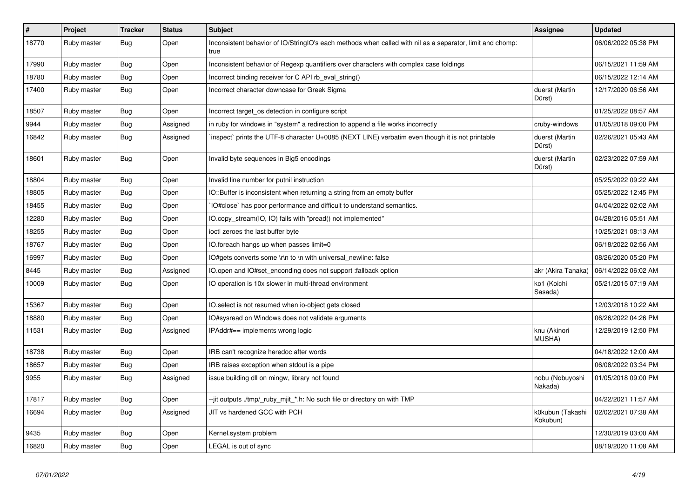| $\#$  | Project     | <b>Tracker</b> | <b>Status</b> | <b>Subject</b>                                                                                                    | Assignee                     | <b>Updated</b>      |
|-------|-------------|----------------|---------------|-------------------------------------------------------------------------------------------------------------------|------------------------------|---------------------|
| 18770 | Ruby master | Bug            | Open          | Inconsistent behavior of IO/StringIO's each methods when called with nil as a separator, limit and chomp:<br>true |                              | 06/06/2022 05:38 PM |
| 17990 | Ruby master | <b>Bug</b>     | Open          | Inconsistent behavior of Regexp quantifiers over characters with complex case foldings                            |                              | 06/15/2021 11:59 AM |
| 18780 | Ruby master | Bug            | Open          | Incorrect binding receiver for C API rb_eval_string()                                                             |                              | 06/15/2022 12:14 AM |
| 17400 | Ruby master | Bug            | Open          | Incorrect character downcase for Greek Sigma                                                                      | duerst (Martin<br>Dürst)     | 12/17/2020 06:56 AM |
| 18507 | Ruby master | <b>Bug</b>     | Open          | Incorrect target_os detection in configure script                                                                 |                              | 01/25/2022 08:57 AM |
| 9944  | Ruby master | <b>Bug</b>     | Assigned      | in ruby for windows in "system" a redirection to append a file works incorrectly                                  | cruby-windows                | 01/05/2018 09:00 PM |
| 16842 | Ruby master | <b>Bug</b>     | Assigned      | inspect` prints the UTF-8 character U+0085 (NEXT LINE) verbatim even though it is not printable                   | duerst (Martin<br>Dürst)     | 02/26/2021 05:43 AM |
| 18601 | Ruby master | Bug            | Open          | Invalid byte sequences in Big5 encodings                                                                          | duerst (Martin<br>Dürst)     | 02/23/2022 07:59 AM |
| 18804 | Ruby master | <b>Bug</b>     | Open          | Invalid line number for putnil instruction                                                                        |                              | 05/25/2022 09:22 AM |
| 18805 | Ruby master | <b>Bug</b>     | Open          | IO::Buffer is inconsistent when returning a string from an empty buffer                                           |                              | 05/25/2022 12:45 PM |
| 18455 | Ruby master | <b>Bug</b>     | Open          | IO#close` has poor performance and difficult to understand semantics.                                             |                              | 04/04/2022 02:02 AM |
| 12280 | Ruby master | Bug            | Open          | IO.copy_stream(IO, IO) fails with "pread() not implemented"                                                       |                              | 04/28/2016 05:51 AM |
| 18255 | Ruby master | <b>Bug</b>     | Open          | ioctl zeroes the last buffer byte                                                                                 |                              | 10/25/2021 08:13 AM |
| 18767 | Ruby master | <b>Bug</b>     | Open          | IO.foreach hangs up when passes limit=0                                                                           |                              | 06/18/2022 02:56 AM |
| 16997 | Ruby master | Bug            | Open          | IO#gets converts some \r\n to \n with universal newline: false                                                    |                              | 08/26/2020 05:20 PM |
| 8445  | Ruby master | <b>Bug</b>     | Assigned      | IO.open and IO#set_enconding does not support :fallback option                                                    | akr (Akira Tanaka)           | 06/14/2022 06:02 AM |
| 10009 | Ruby master | <b>Bug</b>     | Open          | IO operation is 10x slower in multi-thread environment                                                            | ko1 (Koichi<br>Sasada)       | 05/21/2015 07:19 AM |
| 15367 | Ruby master | <b>Bug</b>     | Open          | IO.select is not resumed when io-object gets closed                                                               |                              | 12/03/2018 10:22 AM |
| 18880 | Ruby master | Bug            | Open          | IO#sysread on Windows does not validate arguments                                                                 |                              | 06/26/2022 04:26 PM |
| 11531 | Ruby master | <b>Bug</b>     | Assigned      | IPAddr#== implements wrong logic                                                                                  | knu (Akinori<br>MUSHA)       | 12/29/2019 12:50 PM |
| 18738 | Ruby master | <b>Bug</b>     | Open          | IRB can't recognize heredoc after words                                                                           |                              | 04/18/2022 12:00 AM |
| 18657 | Ruby master | <b>Bug</b>     | Open          | IRB raises exception when stdout is a pipe                                                                        |                              | 06/08/2022 03:34 PM |
| 9955  | Ruby master | <b>Bug</b>     | Assigned      | issue building dll on mingw, library not found                                                                    | nobu (Nobuyoshi<br>Nakada)   | 01/05/2018 09:00 PM |
| 17817 | Ruby master | <b>Bug</b>     | Open          | --jit outputs ./tmp/_ruby_mjit_*.h: No such file or directory on with TMP                                         |                              | 04/22/2021 11:57 AM |
| 16694 | Ruby master | Bug            | Assigned      | JIT vs hardened GCC with PCH                                                                                      | k0kubun (Takashi<br>Kokubun) | 02/02/2021 07:38 AM |
| 9435  | Ruby master | <b>Bug</b>     | Open          | Kernel.system problem                                                                                             |                              | 12/30/2019 03:00 AM |
| 16820 | Ruby master | Bug            | Open          | LEGAL is out of sync                                                                                              |                              | 08/19/2020 11:08 AM |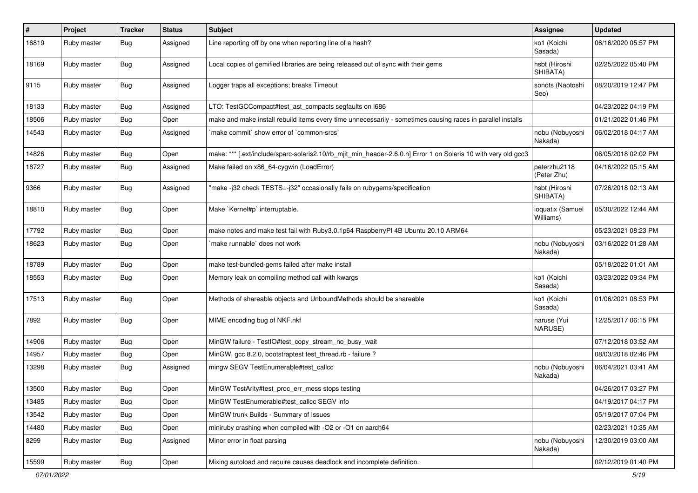| $\#$  | Project     | <b>Tracker</b> | <b>Status</b> | Subject                                                                                                        | <b>Assignee</b>               | <b>Updated</b>      |
|-------|-------------|----------------|---------------|----------------------------------------------------------------------------------------------------------------|-------------------------------|---------------------|
| 16819 | Ruby master | Bug            | Assigned      | Line reporting off by one when reporting line of a hash?                                                       | ko1 (Koichi<br>Sasada)        | 06/16/2020 05:57 PM |
| 18169 | Ruby master | <b>Bug</b>     | Assigned      | Local copies of gemified libraries are being released out of sync with their gems                              | hsbt (Hiroshi<br>SHIBATA)     | 02/25/2022 05:40 PM |
| 9115  | Ruby master | Bug            | Assigned      | Logger traps all exceptions; breaks Timeout                                                                    | sonots (Naotoshi<br>Seo)      | 08/20/2019 12:47 PM |
| 18133 | Ruby master | <b>Bug</b>     | Assigned      | LTO: TestGCCompact#test_ast_compacts segfaults on i686                                                         |                               | 04/23/2022 04:19 PM |
| 18506 | Ruby master | Bug            | Open          | make and make install rebuild items every time unnecessarily - sometimes causing races in parallel installs    |                               | 01/21/2022 01:46 PM |
| 14543 | Ruby master | Bug            | Assigned      | 'make commit' show error of 'common-srcs'                                                                      | nobu (Nobuyoshi<br>Nakada)    | 06/02/2018 04:17 AM |
| 14826 | Ruby master | Bug            | Open          | make: *** [.ext/include/sparc-solaris2.10/rb_mjit_min_header-2.6.0.h] Error 1 on Solaris 10 with very old gcc3 |                               | 06/05/2018 02:02 PM |
| 18727 | Ruby master | <b>Bug</b>     | Assigned      | Make failed on x86_64-cygwin (LoadError)                                                                       | peterzhu2118<br>(Peter Zhu)   | 04/16/2022 05:15 AM |
| 9366  | Ruby master | <b>Bug</b>     | Assigned      | "make -j32 check TESTS=-j32" occasionally fails on rubygems/specification                                      | hsbt (Hiroshi<br>SHIBATA)     | 07/26/2018 02:13 AM |
| 18810 | Ruby master | <b>Bug</b>     | Open          | Make `Kernel#p` interruptable.                                                                                 | ioquatix (Samuel<br>Williams) | 05/30/2022 12:44 AM |
| 17792 | Ruby master | <b>Bug</b>     | Open          | make notes and make test fail with Ruby3.0.1p64 RaspberryPI 4B Ubuntu 20.10 ARM64                              |                               | 05/23/2021 08:23 PM |
| 18623 | Ruby master | Bug            | Open          | make runnable' does not work                                                                                   | nobu (Nobuyoshi<br>Nakada)    | 03/16/2022 01:28 AM |
| 18789 | Ruby master | <b>Bug</b>     | Open          | make test-bundled-gems failed after make install                                                               |                               | 05/18/2022 01:01 AM |
| 18553 | Ruby master | <b>Bug</b>     | Open          | Memory leak on compiling method call with kwargs                                                               | ko1 (Koichi<br>Sasada)        | 03/23/2022 09:34 PM |
| 17513 | Ruby master | <b>Bug</b>     | Open          | Methods of shareable objects and UnboundMethods should be shareable                                            | ko1 (Koichi<br>Sasada)        | 01/06/2021 08:53 PM |
| 7892  | Ruby master | Bug            | Open          | MIME encoding bug of NKF.nkf                                                                                   | naruse (Yui<br>NARUSE)        | 12/25/2017 06:15 PM |
| 14906 | Ruby master | Bug            | Open          | MinGW failure - TestlO#test_copy_stream_no_busy_wait                                                           |                               | 07/12/2018 03:52 AM |
| 14957 | Ruby master | <b>Bug</b>     | Open          | MinGW, gcc 8.2.0, bootstraptest test_thread.rb - failure ?                                                     |                               | 08/03/2018 02:46 PM |
| 13298 | Ruby master | <b>Bug</b>     | Assigned      | mingw SEGV TestEnumerable#test_callcc                                                                          | nobu (Nobuyoshi<br>Nakada)    | 06/04/2021 03:41 AM |
| 13500 | Ruby master | Bug            | Open          | MinGW TestArity#test_proc_err_mess stops testing                                                               |                               | 04/26/2017 03:27 PM |
| 13485 | Ruby master | Bug            | Open          | MinGW TestEnumerable#test callcc SEGV info                                                                     |                               | 04/19/2017 04:17 PM |
| 13542 | Ruby master | <b>Bug</b>     | Open          | MinGW trunk Builds - Summary of Issues                                                                         |                               | 05/19/2017 07:04 PM |
| 14480 | Ruby master | <b>Bug</b>     | Open          | miniruby crashing when compiled with -O2 or -O1 on aarch64                                                     |                               | 02/23/2021 10:35 AM |
| 8299  | Ruby master | <b>Bug</b>     | Assigned      | Minor error in float parsing                                                                                   | nobu (Nobuyoshi<br>Nakada)    | 12/30/2019 03:00 AM |
| 15599 | Ruby master | Bug            | Open          | Mixing autoload and require causes deadlock and incomplete definition.                                         |                               | 02/12/2019 01:40 PM |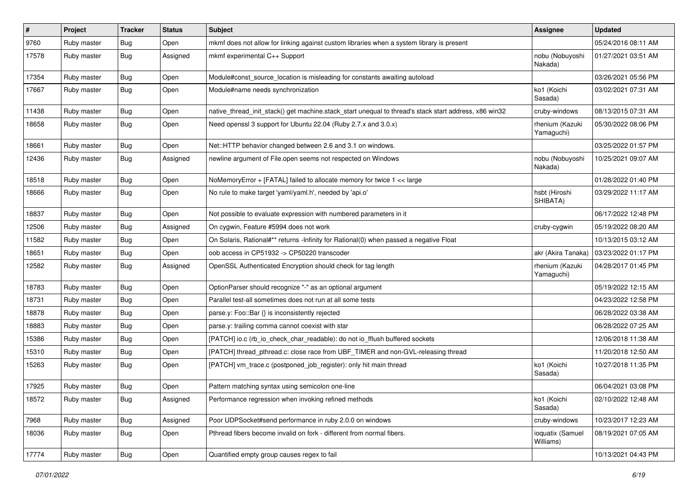| #     | Project     | <b>Tracker</b> | <b>Status</b> | <b>Subject</b>                                                                                        | <b>Assignee</b>               | <b>Updated</b>      |
|-------|-------------|----------------|---------------|-------------------------------------------------------------------------------------------------------|-------------------------------|---------------------|
| 9760  | Ruby master | <b>Bug</b>     | Open          | mkmf does not allow for linking against custom libraries when a system library is present             |                               | 05/24/2016 08:11 AM |
| 17578 | Ruby master | Bug            | Assigned      | mkmf experimental C++ Support                                                                         | nobu (Nobuyoshi<br>Nakada)    | 01/27/2021 03:51 AM |
| 17354 | Ruby master | <b>Bug</b>     | Open          | Module#const_source_location is misleading for constants awaiting autoload                            |                               | 03/26/2021 05:56 PM |
| 17667 | Ruby master | Bug            | Open          | Module#name needs synchronization                                                                     | ko1 (Koichi<br>Sasada)        | 03/02/2021 07:31 AM |
| 11438 | Ruby master | Bug            | Open          | native_thread_init_stack() get machine.stack_start unequal to thread's stack start address, x86 win32 | cruby-windows                 | 08/13/2015 07:31 AM |
| 18658 | Ruby master | Bug            | Open          | Need openssl 3 support for Ubuntu 22.04 (Ruby 2.7.x and 3.0.x)                                        | rhenium (Kazuki<br>Yamaguchi) | 05/30/2022 08:06 PM |
| 18661 | Ruby master | <b>Bug</b>     | Open          | Net::HTTP behavior changed between 2.6 and 3.1 on windows.                                            |                               | 03/25/2022 01:57 PM |
| 12436 | Ruby master | Bug            | Assigned      | newline argument of File.open seems not respected on Windows                                          | nobu (Nobuyoshi<br>Nakada)    | 10/25/2021 09:07 AM |
| 18518 | Ruby master | <b>Bug</b>     | Open          | NoMemoryError + [FATAL] failed to allocate memory for twice 1 << large                                |                               | 01/28/2022 01:40 PM |
| 18666 | Ruby master | <b>Bug</b>     | Open          | No rule to make target 'yaml/yaml.h', needed by 'api.o'                                               | hsbt (Hiroshi<br>SHIBATA)     | 03/29/2022 11:17 AM |
| 18837 | Ruby master | <b>Bug</b>     | Open          | Not possible to evaluate expression with numbered parameters in it                                    |                               | 06/17/2022 12:48 PM |
| 12506 | Ruby master | <b>Bug</b>     | Assigned      | On cygwin, Feature #5994 does not work                                                                | cruby-cygwin                  | 05/19/2022 08:20 AM |
| 11582 | Ruby master | <b>Bug</b>     | Open          | On Solaris, Rational#** returns -Infinity for Rational(0) when passed a negative Float                |                               | 10/13/2015 03:12 AM |
| 18651 | Ruby master | <b>Bug</b>     | Open          | oob access in CP51932 -> CP50220 transcoder                                                           | akr (Akira Tanaka)            | 03/23/2022 01:17 PM |
| 12582 | Ruby master | Bug            | Assigned      | OpenSSL Authenticated Encryption should check for tag length                                          | rhenium (Kazuki<br>Yamaguchi) | 04/28/2017 01:45 PM |
| 18783 | Ruby master | Bug            | Open          | OptionParser should recognize "-" as an optional argument                                             |                               | 05/19/2022 12:15 AM |
| 18731 | Ruby master | <b>Bug</b>     | Open          | Parallel test-all sometimes does not run at all some tests                                            |                               | 04/23/2022 12:58 PM |
| 18878 | Ruby master | <b>Bug</b>     | Open          | parse.y: Foo::Bar {} is inconsistently rejected                                                       |                               | 06/28/2022 03:38 AM |
| 18883 | Ruby master | <b>Bug</b>     | Open          | parse.y: trailing comma cannot coexist with star                                                      |                               | 06/28/2022 07:25 AM |
| 15386 | Ruby master | Bug            | Open          | [PATCH] io.c (rb_io_check_char_readable): do not io_fflush buffered sockets                           |                               | 12/06/2018 11:38 AM |
| 15310 | Ruby master | <b>Bug</b>     | Open          | [PATCH] thread_pthread.c: close race from UBF_TIMER and non-GVL-releasing thread                      |                               | 11/20/2018 12:50 AM |
| 15263 | Ruby master | Bug            | Open          | [PATCH] vm_trace.c (postponed_job_register): only hit main thread                                     | ko1 (Koichi<br>Sasada)        | 10/27/2018 11:35 PM |
| 17925 | Ruby master | <b>Bug</b>     | Open          | Pattern matching syntax using semicolon one-line                                                      |                               | 06/04/2021 03:08 PM |
| 18572 | Ruby master | Bug            | Assigned      | Performance regression when invoking refined methods                                                  | ko1 (Koichi<br>Sasada)        | 02/10/2022 12:48 AM |
| 7968  | Ruby master | Bug            | Assigned      | Poor UDPSocket#send performance in ruby 2.0.0 on windows                                              | cruby-windows                 | 10/23/2017 12:23 AM |
| 18036 | Ruby master | Bug            | Open          | Pthread fibers become invalid on fork - different from normal fibers.                                 | ioquatix (Samuel<br>Williams) | 08/19/2021 07:05 AM |
| 17774 | Ruby master | <b>Bug</b>     | Open          | Quantified empty group causes regex to fail                                                           |                               | 10/13/2021 04:43 PM |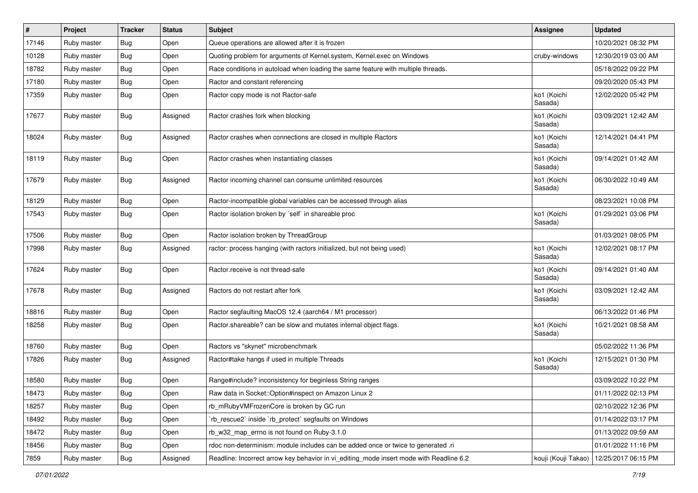| #     | Project     | <b>Tracker</b> | <b>Status</b> | Subject                                                                                 | <b>Assignee</b>        | <b>Updated</b>      |
|-------|-------------|----------------|---------------|-----------------------------------------------------------------------------------------|------------------------|---------------------|
| 17146 | Ruby master | <b>Bug</b>     | Open          | Queue operations are allowed after it is frozen                                         |                        | 10/20/2021 08:32 PM |
| 10128 | Ruby master | <b>Bug</b>     | Open          | Quoting problem for arguments of Kernel.system, Kernel.exec on Windows                  | cruby-windows          | 12/30/2019 03:00 AM |
| 18782 | Ruby master | <b>Bug</b>     | Open          | Race conditions in autoload when loading the same feature with multiple threads.        |                        | 05/18/2022 09:22 PM |
| 17180 | Ruby master | Bug            | Open          | Ractor and constant referencing                                                         |                        | 09/20/2020 05:43 PM |
| 17359 | Ruby master | <b>Bug</b>     | Open          | Ractor copy mode is not Ractor-safe                                                     | ko1 (Koichi<br>Sasada) | 12/02/2020 05:42 PM |
| 17677 | Ruby master | <b>Bug</b>     | Assigned      | Ractor crashes fork when blocking                                                       | ko1 (Koichi<br>Sasada) | 03/09/2021 12:42 AM |
| 18024 | Ruby master | <b>Bug</b>     | Assigned      | Ractor crashes when connections are closed in multiple Ractors                          | ko1 (Koichi<br>Sasada) | 12/14/2021 04:41 PM |
| 18119 | Ruby master | Bug            | Open          | Ractor crashes when instantiating classes                                               | ko1 (Koichi<br>Sasada) | 09/14/2021 01:42 AM |
| 17679 | Ruby master | <b>Bug</b>     | Assigned      | Ractor incoming channel can consume unlimited resources                                 | ko1 (Koichi<br>Sasada) | 06/30/2022 10:49 AM |
| 18129 | Ruby master | <b>Bug</b>     | Open          | Ractor-incompatible global variables can be accessed through alias                      |                        | 08/23/2021 10:08 PM |
| 17543 | Ruby master | <b>Bug</b>     | Open          | Ractor isolation broken by `self` in shareable proc                                     | ko1 (Koichi<br>Sasada) | 01/29/2021 03:06 PM |
| 17506 | Ruby master | Bug            | Open          | Ractor isolation broken by ThreadGroup                                                  |                        | 01/03/2021 08:05 PM |
| 17998 | Ruby master | Bug            | Assigned      | ractor: process hanging (with ractors initialized, but not being used)                  | ko1 (Koichi<br>Sasada) | 12/02/2021 08:17 PM |
| 17624 | Ruby master | Bug            | Open          | Ractor.receive is not thread-safe                                                       | ko1 (Koichi<br>Sasada) | 09/14/2021 01:40 AM |
| 17678 | Ruby master | <b>Bug</b>     | Assigned      | Ractors do not restart after fork                                                       | ko1 (Koichi<br>Sasada) | 03/09/2021 12:42 AM |
| 18816 | Ruby master | <b>Bug</b>     | Open          | Ractor segfaulting MacOS 12.4 (aarch64 / M1 processor)                                  |                        | 06/13/2022 01:46 PM |
| 18258 | Ruby master | Bug            | Open          | Ractor.shareable? can be slow and mutates internal object flags.                        | ko1 (Koichi<br>Sasada) | 10/21/2021 08:58 AM |
| 18760 | Ruby master | <b>Bug</b>     | Open          | Ractors vs "skynet" microbenchmark                                                      |                        | 05/02/2022 11:36 PM |
| 17826 | Ruby master | <b>Bug</b>     | Assigned      | Ractor#take hangs if used in multiple Threads                                           | ko1 (Koichi<br>Sasada) | 12/15/2021 01:30 PM |
| 18580 | Ruby master | <b>Bug</b>     | Open          | Range#include? inconsistency for beginless String ranges                                |                        | 03/09/2022 10:22 PM |
| 18473 | Ruby master | Bug            | Open          | Raw data in Socket::Option#inspect on Amazon Linux 2                                    |                        | 01/11/2022 02:13 PM |
| 18257 | Ruby master | <b>Bug</b>     | Open          | rb_mRubyVMFrozenCore is broken by GC run                                                |                        | 02/10/2022 12:36 PM |
| 18492 | Ruby master | Bug            | Open          | rb_rescue2` inside `rb_protect` segfaults on Windows                                    |                        | 01/14/2022 03:17 PM |
| 18472 | Ruby master | <b>Bug</b>     | Open          | rb_w32_map_errno is not found on Ruby-3.1.0                                             |                        | 01/13/2022 09:59 AM |
| 18456 | Ruby master | Bug            | Open          | rdoc non-determinism: module includes can be added once or twice to generated .ri       |                        | 01/01/2022 11:16 PM |
| 7859  | Ruby master | Bug            | Assigned      | Readline: Incorrect arrow key behavior in vi_editing_mode insert mode with Readline 6.2 | kouji (Kouji Takao)    | 12/25/2017 06:15 PM |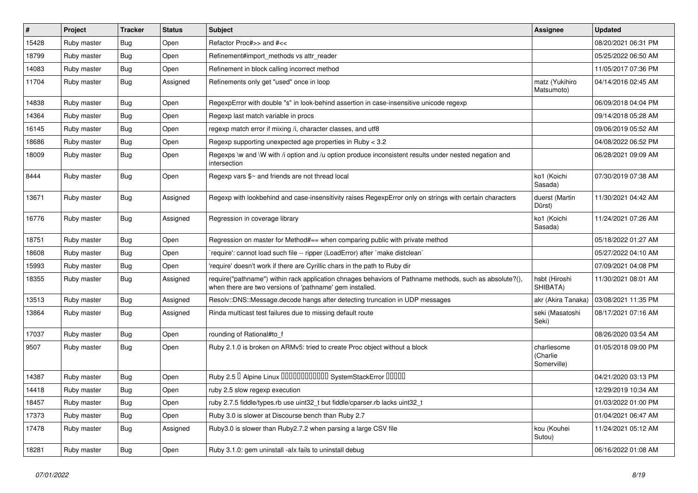| #     | Project     | <b>Tracker</b> | <b>Status</b> | <b>Subject</b>                                                                                                                                                      | <b>Assignee</b>                        | <b>Updated</b>      |
|-------|-------------|----------------|---------------|---------------------------------------------------------------------------------------------------------------------------------------------------------------------|----------------------------------------|---------------------|
| 15428 | Ruby master | <b>Bug</b>     | Open          | Refactor Proc#>> and #<<                                                                                                                                            |                                        | 08/20/2021 06:31 PM |
| 18799 | Ruby master | Bug            | Open          | Refinement#import_methods vs attr_reader                                                                                                                            |                                        | 05/25/2022 06:50 AM |
| 14083 | Ruby master | <b>Bug</b>     | Open          | Refinement in block calling incorrect method                                                                                                                        |                                        | 11/05/2017 07:36 PM |
| 11704 | Ruby master | <b>Bug</b>     | Assigned      | Refinements only get "used" once in loop                                                                                                                            | matz (Yukihiro<br>Matsumoto)           | 04/14/2016 02:45 AM |
| 14838 | Ruby master | Bug            | Open          | RegexpError with double "s" in look-behind assertion in case-insensitive unicode regexp                                                                             |                                        | 06/09/2018 04:04 PM |
| 14364 | Ruby master | Bug            | Open          | Regexp last match variable in procs                                                                                                                                 |                                        | 09/14/2018 05:28 AM |
| 16145 | Ruby master | <b>Bug</b>     | Open          | regexp match error if mixing /i, character classes, and utf8                                                                                                        |                                        | 09/06/2019 05:52 AM |
| 18686 | Ruby master | <b>Bug</b>     | Open          | Regexp supporting unexpected age properties in Ruby < 3.2                                                                                                           |                                        | 04/08/2022 06:52 PM |
| 18009 | Ruby master | <b>Bug</b>     | Open          | Regexps \w and \W with /i option and /u option produce inconsistent results under nested negation and<br>intersection                                               |                                        | 06/28/2021 09:09 AM |
| 8444  | Ruby master | Bug            | Open          | Regexp vars \$~ and friends are not thread local                                                                                                                    | ko1 (Koichi<br>Sasada)                 | 07/30/2019 07:38 AM |
| 13671 | Ruby master | <b>Bug</b>     | Assigned      | Regexp with lookbehind and case-insensitivity raises RegexpError only on strings with certain characters                                                            | duerst (Martin<br>Dürst)               | 11/30/2021 04:42 AM |
| 16776 | Ruby master | Bug            | Assigned      | Regression in coverage library                                                                                                                                      | ko1 (Koichi<br>Sasada)                 | 11/24/2021 07:26 AM |
| 18751 | Ruby master | Bug            | Open          | Regression on master for Method#== when comparing public with private method                                                                                        |                                        | 05/18/2022 01:27 AM |
| 18608 | Ruby master | <b>Bug</b>     | Open          | 'require': cannot load such file -- ripper (LoadError) after 'make distclean'                                                                                       |                                        | 05/27/2022 04:10 AM |
| 15993 | Ruby master | Bug            | Open          | require' doesn't work if there are Cyrillic chars in the path to Ruby dir                                                                                           |                                        | 07/09/2021 04:08 PM |
| 18355 | Ruby master | Bug            | Assigned      | require("pathname") within rack application chnages behaviors of Pathname methods, such as absolute?(),<br>when there are two versions of 'pathname' gem installed. | hsbt (Hiroshi<br>SHIBATA)              | 11/30/2021 08:01 AM |
| 13513 | Ruby master | <b>Bug</b>     | Assigned      | Resolv::DNS::Message.decode hangs after detecting truncation in UDP messages                                                                                        | akr (Akira Tanaka)                     | 03/08/2021 11:35 PM |
| 13864 | Ruby master | <b>Bug</b>     | Assigned      | Rinda multicast test failures due to missing default route                                                                                                          | seki (Masatoshi<br>Seki)               | 08/17/2021 07:16 AM |
| 17037 | Ruby master | Bug            | Open          | rounding of Rational#to_f                                                                                                                                           |                                        | 08/26/2020 03:54 AM |
| 9507  | Ruby master | <b>Bug</b>     | Open          | Ruby 2.1.0 is broken on ARMv5: tried to create Proc object without a block                                                                                          | charliesome<br>(Charlie<br>Somerville) | 01/05/2018 09:00 PM |
| 14387 | Ruby master | <b>Bug</b>     | Open          | Ruby 2.5 <sup>D</sup> Alpine Linux 000000000000 SystemStackError 00000                                                                                              |                                        | 04/21/2020 03:13 PM |
| 14418 | Ruby master | <b>Bug</b>     | Open          | ruby 2.5 slow regexp execution                                                                                                                                      |                                        | 12/29/2019 10:34 AM |
| 18457 | Ruby master | <b>Bug</b>     | Open          | ruby 2.7.5 fiddle/types.rb use uint32_t but fiddle/cparser.rb lacks uint32_t                                                                                        |                                        | 01/03/2022 01:00 PM |
| 17373 | Ruby master | <b>Bug</b>     | Open          | Ruby 3.0 is slower at Discourse bench than Ruby 2.7                                                                                                                 |                                        | 01/04/2021 06:47 AM |
| 17478 | Ruby master | <b>Bug</b>     | Assigned      | Ruby3.0 is slower than Ruby2.7.2 when parsing a large CSV file                                                                                                      | kou (Kouhei<br>Sutou)                  | 11/24/2021 05:12 AM |
| 18281 | Ruby master | Bug            | Open          | Ruby 3.1.0: gem uninstall -alx fails to uninstall debug                                                                                                             |                                        | 06/16/2022 01:08 AM |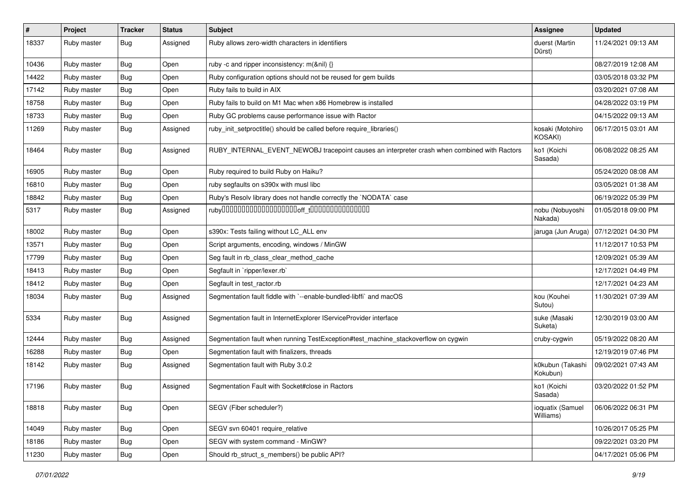| $\sharp$ | Project     | <b>Tracker</b> | <b>Status</b> | <b>Subject</b>                                                                               | Assignee                      | <b>Updated</b>      |
|----------|-------------|----------------|---------------|----------------------------------------------------------------------------------------------|-------------------------------|---------------------|
| 18337    | Ruby master | <b>Bug</b>     | Assigned      | Ruby allows zero-width characters in identifiers                                             | duerst (Martin<br>Dürst)      | 11/24/2021 09:13 AM |
| 10436    | Ruby master | Bug            | Open          | ruby -c and ripper inconsistency: m(&nil) {}                                                 |                               | 08/27/2019 12:08 AM |
| 14422    | Ruby master | <b>Bug</b>     | Open          | Ruby configuration options should not be reused for gem builds                               |                               | 03/05/2018 03:32 PM |
| 17142    | Ruby master | Bug            | Open          | Ruby fails to build in AIX                                                                   |                               | 03/20/2021 07:08 AM |
| 18758    | Ruby master | <b>Bug</b>     | Open          | Ruby fails to build on M1 Mac when x86 Homebrew is installed                                 |                               | 04/28/2022 03:19 PM |
| 18733    | Ruby master | <b>Bug</b>     | Open          | Ruby GC problems cause performance issue with Ractor                                         |                               | 04/15/2022 09:13 AM |
| 11269    | Ruby master | Bug            | Assigned      | ruby_init_setproctitle() should be called before require_libraries()                         | kosaki (Motohiro<br>KOSAKI)   | 06/17/2015 03:01 AM |
| 18464    | Ruby master | Bug            | Assigned      | RUBY_INTERNAL_EVENT_NEWOBJ tracepoint causes an interpreter crash when combined with Ractors | ko1 (Koichi<br>Sasada)        | 06/08/2022 08:25 AM |
| 16905    | Ruby master | Bug            | Open          | Ruby required to build Ruby on Haiku?                                                        |                               | 05/24/2020 08:08 AM |
| 16810    | Ruby master | Bug            | Open          | ruby segfaults on s390x with musl libc                                                       |                               | 03/05/2021 01:38 AM |
| 18842    | Ruby master | <b>Bug</b>     | Open          | Ruby's Resolv library does not handle correctly the `NODATA` case                            |                               | 06/19/2022 05:39 PM |
| 5317     | Ruby master | <b>Bug</b>     | Assigned      |                                                                                              | nobu (Nobuyoshi<br>Nakada)    | 01/05/2018 09:00 PM |
| 18002    | Ruby master | Bug            | Open          | s390x: Tests failing without LC_ALL env                                                      | jaruga (Jun Aruga)            | 07/12/2021 04:30 PM |
| 13571    | Ruby master | <b>Bug</b>     | Open          | Script arguments, encoding, windows / MinGW                                                  |                               | 11/12/2017 10:53 PM |
| 17799    | Ruby master | <b>Bug</b>     | Open          | Seg fault in rb_class_clear_method_cache                                                     |                               | 12/09/2021 05:39 AM |
| 18413    | Ruby master | Bug            | Open          | Segfault in `ripper/lexer.rb`                                                                |                               | 12/17/2021 04:49 PM |
| 18412    | Ruby master | Bug            | Open          | Segfault in test_ractor.rb                                                                   |                               | 12/17/2021 04:23 AM |
| 18034    | Ruby master | <b>Bug</b>     | Assigned      | Segmentation fault fiddle with `--enable-bundled-libffi` and macOS                           | kou (Kouhei<br>Sutou)         | 11/30/2021 07:39 AM |
| 5334     | Ruby master | Bug            | Assigned      | Segmentation fault in InternetExplorer IServiceProvider interface                            | suke (Masaki<br>Suketa)       | 12/30/2019 03:00 AM |
| 12444    | Ruby master | <b>Bug</b>     | Assigned      | Segmentation fault when running TestException#test_machine_stackoverflow on cygwin           | cruby-cygwin                  | 05/19/2022 08:20 AM |
| 16288    | Ruby master | <b>Bug</b>     | Open          | Segmentation fault with finalizers, threads                                                  |                               | 12/19/2019 07:46 PM |
| 18142    | Ruby master | Bug            | Assigned      | Segmentation fault with Ruby 3.0.2                                                           | k0kubun (Takashi<br>Kokubun)  | 09/02/2021 07:43 AM |
| 17196    | Ruby master | <b>Bug</b>     | Assigned      | Segmentation Fault with Socket#close in Ractors                                              | ko1 (Koichi<br>Sasada)        | 03/20/2022 01:52 PM |
| 18818    | Ruby master | <b>Bug</b>     | Open          | SEGV (Fiber scheduler?)                                                                      | ioquatix (Samuel<br>Williams) | 06/06/2022 06:31 PM |
| 14049    | Ruby master | <b>Bug</b>     | Open          | SEGV svn 60401 require_relative                                                              |                               | 10/26/2017 05:25 PM |
| 18186    | Ruby master | Bug            | Open          | SEGV with system command - MinGW?                                                            |                               | 09/22/2021 03:20 PM |
| 11230    | Ruby master | <b>Bug</b>     | Open          | Should rb struct s members() be public API?                                                  |                               | 04/17/2021 05:06 PM |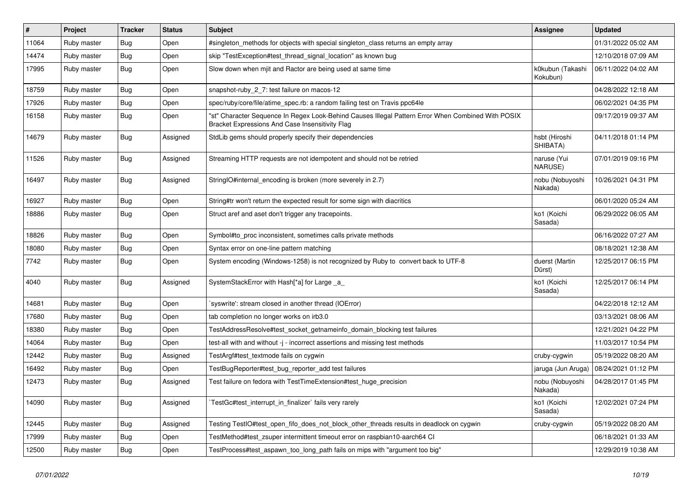| #     | Project     | <b>Tracker</b> | <b>Status</b> | Subject                                                                                                                                               | <b>Assignee</b>              | <b>Updated</b>      |
|-------|-------------|----------------|---------------|-------------------------------------------------------------------------------------------------------------------------------------------------------|------------------------------|---------------------|
| 11064 | Ruby master | Bug            | Open          | #singleton_methods for objects with special singleton_class returns an empty array                                                                    |                              | 01/31/2022 05:02 AM |
| 14474 | Ruby master | <b>Bug</b>     | Open          | skip "TestException#test_thread_signal_location" as known bug                                                                                         |                              | 12/10/2018 07:09 AM |
| 17995 | Ruby master | <b>Bug</b>     | Open          | Slow down when mjit and Ractor are being used at same time                                                                                            | k0kubun (Takashi<br>Kokubun) | 06/11/2022 04:02 AM |
| 18759 | Ruby master | <b>Bug</b>     | Open          | snapshot-ruby_2_7: test failure on macos-12                                                                                                           |                              | 04/28/2022 12:18 AM |
| 17926 | Ruby master | <b>Bug</b>     | Open          | spec/ruby/core/file/atime_spec.rb: a random failing test on Travis ppc64le                                                                            |                              | 06/02/2021 04:35 PM |
| 16158 | Ruby master | <b>Bug</b>     | Open          | "st" Character Sequence In Regex Look-Behind Causes Illegal Pattern Error When Combined With POSIX<br>Bracket Expressions And Case Insensitivity Flag |                              | 09/17/2019 09:37 AM |
| 14679 | Ruby master | Bug            | Assigned      | StdLib gems should properly specify their dependencies                                                                                                | hsbt (Hiroshi<br>SHIBATA)    | 04/11/2018 01:14 PM |
| 11526 | Ruby master | Bug            | Assigned      | Streaming HTTP requests are not idempotent and should not be retried                                                                                  | naruse (Yui<br>NARUSE)       | 07/01/2019 09:16 PM |
| 16497 | Ruby master | <b>Bug</b>     | Assigned      | StringIO#internal_encoding is broken (more severely in 2.7)                                                                                           | nobu (Nobuyoshi<br>Nakada)   | 10/26/2021 04:31 PM |
| 16927 | Ruby master | <b>Bug</b>     | Open          | String#tr won't return the expected result for some sign with diacritics                                                                              |                              | 06/01/2020 05:24 AM |
| 18886 | Ruby master | Bug            | Open          | Struct aref and aset don't trigger any tracepoints.                                                                                                   | ko1 (Koichi<br>Sasada)       | 06/29/2022 06:05 AM |
| 18826 | Ruby master | <b>Bug</b>     | Open          | Symbol#to_proc inconsistent, sometimes calls private methods                                                                                          |                              | 06/16/2022 07:27 AM |
| 18080 | Ruby master | <b>Bug</b>     | Open          | Syntax error on one-line pattern matching                                                                                                             |                              | 08/18/2021 12:38 AM |
| 7742  | Ruby master | <b>Bug</b>     | Open          | System encoding (Windows-1258) is not recognized by Ruby to convert back to UTF-8                                                                     | duerst (Martin<br>Dürst)     | 12/25/2017 06:15 PM |
| 4040  | Ruby master | <b>Bug</b>     | Assigned      | SystemStackError with Hash[*a] for Large _a_                                                                                                          | ko1 (Koichi<br>Sasada)       | 12/25/2017 06:14 PM |
| 14681 | Ruby master | Bug            | Open          | syswrite': stream closed in another thread (IOError)                                                                                                  |                              | 04/22/2018 12:12 AM |
| 17680 | Ruby master | <b>Bug</b>     | Open          | tab completion no longer works on irb3.0                                                                                                              |                              | 03/13/2021 08:06 AM |
| 18380 | Ruby master | <b>Bug</b>     | Open          | TestAddressResolve#test_socket_getnameinfo_domain_blocking test failures                                                                              |                              | 12/21/2021 04:22 PM |
| 14064 | Ruby master | <b>Bug</b>     | Open          | test-all with and without -j - incorrect assertions and missing test methods                                                                          |                              | 11/03/2017 10:54 PM |
| 12442 | Ruby master | <b>Bug</b>     | Assigned      | TestArgf#test_textmode fails on cygwin                                                                                                                | cruby-cygwin                 | 05/19/2022 08:20 AM |
| 16492 | Ruby master | <b>Bug</b>     | Open          | TestBugReporter#test_bug_reporter_add test failures                                                                                                   | jaruga (Jun Aruga)           | 08/24/2021 01:12 PM |
| 12473 | Ruby master | <b>Bug</b>     | Assigned      | Test failure on fedora with TestTimeExtension#test huge precision                                                                                     | nobu (Nobuyoshi<br>Nakada)   | 04/28/2017 01:45 PM |
| 14090 | Ruby master | <b>Bug</b>     | Assigned      | TestGc#test_interrupt_in_finalizer` fails very rarely                                                                                                 | ko1 (Koichi<br>Sasada)       | 12/02/2021 07:24 PM |
| 12445 | Ruby master | <b>Bug</b>     | Assigned      | Testing TestIO#test open fifo does not block other threads results in deadlock on cygwin                                                              | cruby-cygwin                 | 05/19/2022 08:20 AM |
| 17999 | Ruby master | <b>Bug</b>     | Open          | TestMethod#test_zsuper intermittent timeout error on raspbian10-aarch64 CI                                                                            |                              | 06/18/2021 01:33 AM |
| 12500 | Ruby master | Bug            | Open          | TestProcess#test_aspawn_too_long_path fails on mips with "argument too big"                                                                           |                              | 12/29/2019 10:38 AM |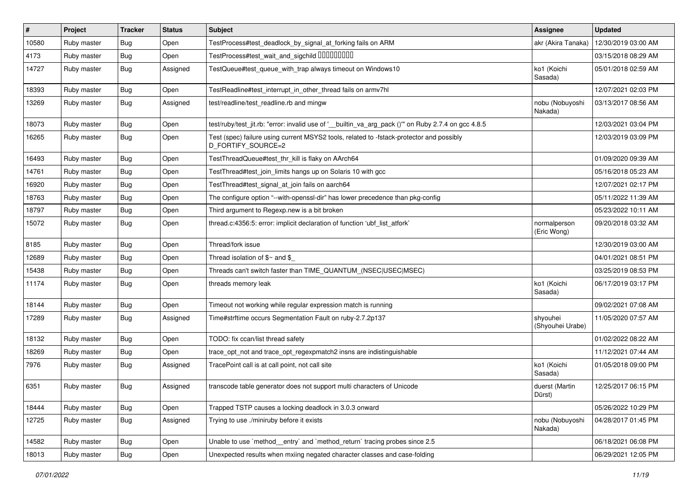| $\sharp$ | Project     | <b>Tracker</b> | <b>Status</b> | <b>Subject</b>                                                                                                 | Assignee                     | <b>Updated</b>      |
|----------|-------------|----------------|---------------|----------------------------------------------------------------------------------------------------------------|------------------------------|---------------------|
| 10580    | Ruby master | <b>Bug</b>     | Open          | TestProcess#test_deadlock_by_signal_at_forking fails on ARM                                                    | akr (Akira Tanaka)           | 12/30/2019 03:00 AM |
| 4173     | Ruby master | Bug            | Open          | TestProcess#test_wait_and_sigchild DDDDDDDD                                                                    |                              | 03/15/2018 08:29 AM |
| 14727    | Ruby master | Bug            | Assigned      | TestQueue#test_queue_with_trap always timeout on Windows10                                                     | ko1 (Koichi<br>Sasada)       | 05/01/2018 02:59 AM |
| 18393    | Ruby master | Bug            | Open          | TestReadline#test_interrupt_in_other_thread fails on armv7hl                                                   |                              | 12/07/2021 02:03 PM |
| 13269    | Ruby master | <b>Bug</b>     | Assigned      | test/readline/test readline.rb and mingw                                                                       | nobu (Nobuyoshi<br>Nakada)   | 03/13/2017 08:56 AM |
| 18073    | Ruby master | <b>Bug</b>     | Open          | test/ruby/test_jit.rb: "error: invalid use of '_builtin_va_arg_pack ()" on Ruby 2.7.4 on gcc 4.8.5             |                              | 12/03/2021 03:04 PM |
| 16265    | Ruby master | <b>Bug</b>     | Open          | Test (spec) failure using current MSYS2 tools, related to -fstack-protector and possibly<br>D_FORTIFY_SOURCE=2 |                              | 12/03/2019 03:09 PM |
| 16493    | Ruby master | Bug            | Open          | TestThreadQueue#test_thr_kill is flaky on AArch64                                                              |                              | 01/09/2020 09:39 AM |
| 14761    | Ruby master | <b>Bug</b>     | Open          | TestThread#test_join_limits hangs up on Solaris 10 with gcc                                                    |                              | 05/16/2018 05:23 AM |
| 16920    | Ruby master | Bug            | Open          | TestThread#test_signal_at_join fails on aarch64                                                                |                              | 12/07/2021 02:17 PM |
| 18763    | Ruby master | <b>Bug</b>     | Open          | The configure option "--with-openssl-dir" has lower precedence than pkg-config                                 |                              | 05/11/2022 11:39 AM |
| 18797    | Ruby master | <b>Bug</b>     | Open          | Third argument to Regexp.new is a bit broken                                                                   |                              | 05/23/2022 10:11 AM |
| 15072    | Ruby master | <b>Bug</b>     | Open          | thread.c:4356:5: error: implicit declaration of function 'ubf_list_atfork'                                     | normalperson<br>(Eric Wong)  | 09/20/2018 03:32 AM |
| 8185     | Ruby master | Bug            | Open          | Thread/fork issue                                                                                              |                              | 12/30/2019 03:00 AM |
| 12689    | Ruby master | Bug            | Open          | Thread isolation of $\gamma$ and $\gamma$                                                                      |                              | 04/01/2021 08:51 PM |
| 15438    | Ruby master | Bug            | Open          | Threads can't switch faster than TIME_QUANTUM_(NSEC USEC MSEC)                                                 |                              | 03/25/2019 08:53 PM |
| 11174    | Ruby master | Bug            | Open          | threads memory leak                                                                                            | ko1 (Koichi<br>Sasada)       | 06/17/2019 03:17 PM |
| 18144    | Ruby master | Bug            | Open          | Timeout not working while regular expression match is running                                                  |                              | 09/02/2021 07:08 AM |
| 17289    | Ruby master | Bug            | Assigned      | Time#strftime occurs Segmentation Fault on ruby-2.7.2p137                                                      | shyouhei<br>(Shyouhei Urabe) | 11/05/2020 07:57 AM |
| 18132    | Ruby master | Bug            | Open          | TODO: fix ccan/list thread safety                                                                              |                              | 01/02/2022 08:22 AM |
| 18269    | Ruby master | <b>Bug</b>     | Open          | trace_opt_not and trace_opt_regexpmatch2 insns are indistinguishable                                           |                              | 11/12/2021 07:44 AM |
| 7976     | Ruby master | Bug            | Assigned      | TracePoint call is at call point, not call site                                                                | ko1 (Koichi<br>Sasada)       | 01/05/2018 09:00 PM |
| 6351     | Ruby master | Bug            | Assigned      | transcode table generator does not support multi characters of Unicode                                         | duerst (Martin<br>Dürst)     | 12/25/2017 06:15 PM |
| 18444    | Ruby master | <b>Bug</b>     | Open          | Trapped TSTP causes a locking deadlock in 3.0.3 onward                                                         |                              | 05/26/2022 10:29 PM |
| 12725    | Ruby master | <b>Bug</b>     | Assigned      | Trying to use ./miniruby before it exists                                                                      | nobu (Nobuyoshi<br>Nakada)   | 04/28/2017 01:45 PM |
| 14582    | Ruby master | <b>Bug</b>     | Open          | Unable to use `method entry` and `method return` tracing probes since 2.5                                      |                              | 06/18/2021 06:08 PM |
| 18013    | Ruby master | Bug            | Open          | Unexpected results when mxiing negated character classes and case-folding                                      |                              | 06/29/2021 12:05 PM |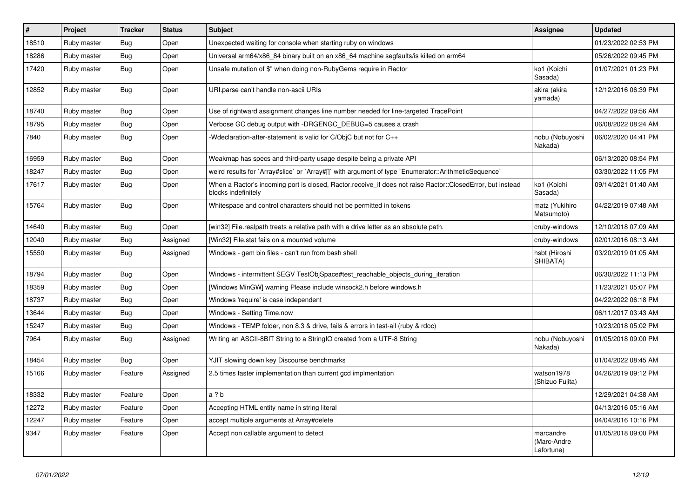| $\#$  | Project     | <b>Tracker</b> | <b>Status</b> | <b>Subject</b>                                                                                                                    | <b>Assignee</b>                        | <b>Updated</b>      |
|-------|-------------|----------------|---------------|-----------------------------------------------------------------------------------------------------------------------------------|----------------------------------------|---------------------|
| 18510 | Ruby master | Bug            | Open          | Unexpected waiting for console when starting ruby on windows                                                                      |                                        | 01/23/2022 02:53 PM |
| 18286 | Ruby master | <b>Bug</b>     | Open          | Universal arm64/x86_84 binary built on an x86_64 machine segfaults/is killed on arm64                                             |                                        | 05/26/2022 09:45 PM |
| 17420 | Ruby master | Bug            | Open          | Unsafe mutation of \$" when doing non-RubyGems require in Ractor                                                                  | ko1 (Koichi<br>Sasada)                 | 01/07/2021 01:23 PM |
| 12852 | Ruby master | Bug            | Open          | URI.parse can't handle non-ascii URIs                                                                                             | akira (akira<br>yamada)                | 12/12/2016 06:39 PM |
| 18740 | Ruby master | Bug            | Open          | Use of rightward assignment changes line number needed for line-targeted TracePoint                                               |                                        | 04/27/2022 09:56 AM |
| 18795 | Ruby master | Bug            | Open          | Verbose GC debug output with -DRGENGC_DEBUG=5 causes a crash                                                                      |                                        | 06/08/2022 08:24 AM |
| 7840  | Ruby master | <b>Bug</b>     | Open          | -Wdeclaration-after-statement is valid for C/ObjC but not for C++                                                                 | nobu (Nobuyoshi<br>Nakada)             | 06/02/2020 04:41 PM |
| 16959 | Ruby master | <b>Bug</b>     | Open          | Weakmap has specs and third-party usage despite being a private API                                                               |                                        | 06/13/2020 08:54 PM |
| 18247 | Ruby master | Bug            | Open          | weird results for `Array#slice` or `Array#[]` with argument of type `Enumerator::ArithmeticSequence`                              |                                        | 03/30/2022 11:05 PM |
| 17617 | Ruby master | Bug            | Open          | When a Ractor's incoming port is closed, Ractor receive if does not raise Ractor::ClosedError, but instead<br>blocks indefinitely | ko1 (Koichi<br>Sasada)                 | 09/14/2021 01:40 AM |
| 15764 | Ruby master | <b>Bug</b>     | Open          | Whitespace and control characters should not be permitted in tokens                                                               | matz (Yukihiro<br>Matsumoto)           | 04/22/2019 07:48 AM |
| 14640 | Ruby master | Bug            | Open          | [win32] File.realpath treats a relative path with a drive letter as an absolute path.                                             | cruby-windows                          | 12/10/2018 07:09 AM |
| 12040 | Ruby master | Bug            | Assigned      | [Win32] File.stat fails on a mounted volume                                                                                       | cruby-windows                          | 02/01/2016 08:13 AM |
| 15550 | Ruby master | <b>Bug</b>     | Assigned      | Windows - gem bin files - can't run from bash shell                                                                               | hsbt (Hiroshi<br>SHIBATA)              | 03/20/2019 01:05 AM |
| 18794 | Ruby master | Bug            | Open          | Windows - intermittent SEGV TestObjSpace#test_reachable_objects_during_iteration                                                  |                                        | 06/30/2022 11:13 PM |
| 18359 | Ruby master | <b>Bug</b>     | Open          | [Windows MinGW] warning Please include winsock2.h before windows.h                                                                |                                        | 11/23/2021 05:07 PM |
| 18737 | Ruby master | <b>Bug</b>     | Open          | Windows 'require' is case independent                                                                                             |                                        | 04/22/2022 06:18 PM |
| 13644 | Ruby master | Bug            | Open          | Windows - Setting Time.now                                                                                                        |                                        | 06/11/2017 03:43 AM |
| 15247 | Ruby master | <b>Bug</b>     | Open          | Windows - TEMP folder, non 8.3 & drive, fails & errors in test-all (ruby & rdoc)                                                  |                                        | 10/23/2018 05:02 PM |
| 7964  | Ruby master | Bug            | Assigned      | Writing an ASCII-8BIT String to a StringIO created from a UTF-8 String                                                            | nobu (Nobuyoshi<br>Nakada)             | 01/05/2018 09:00 PM |
| 18454 | Ruby master | <b>Bug</b>     | Open          | YJIT slowing down key Discourse benchmarks                                                                                        |                                        | 01/04/2022 08:45 AM |
| 15166 | Ruby master | Feature        | Assigned      | 2.5 times faster implementation than current gcd implmentation                                                                    | watson1978<br>(Shizuo Fujita)          | 04/26/2019 09:12 PM |
| 18332 | Ruby master | Feature        | Open          | a ? b                                                                                                                             |                                        | 12/29/2021 04:38 AM |
| 12272 | Ruby master | Feature        | Open          | Accepting HTML entity name in string literal                                                                                      |                                        | 04/13/2016 05:16 AM |
| 12247 | Ruby master | Feature        | Open          | accept multiple arguments at Array#delete                                                                                         |                                        | 04/04/2016 10:16 PM |
| 9347  | Ruby master | Feature        | Open          | Accept non callable argument to detect                                                                                            | marcandre<br>(Marc-Andre<br>Lafortune) | 01/05/2018 09:00 PM |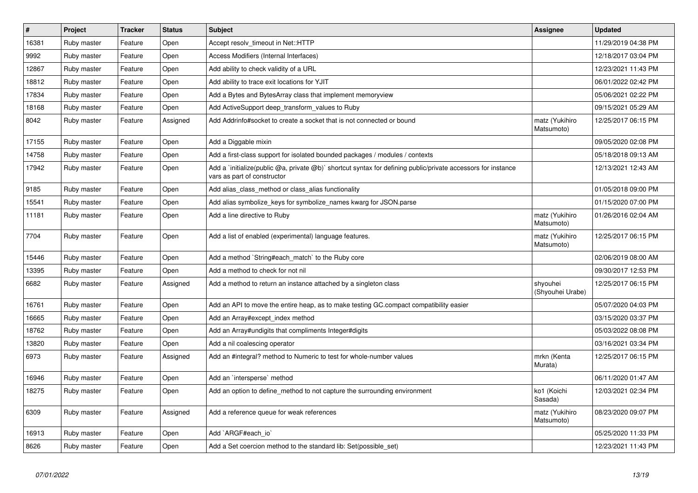| $\#$  | Project     | <b>Tracker</b> | <b>Status</b> | <b>Subject</b>                                                                                                                              | Assignee                     | <b>Updated</b>      |
|-------|-------------|----------------|---------------|---------------------------------------------------------------------------------------------------------------------------------------------|------------------------------|---------------------|
| 16381 | Ruby master | Feature        | Open          | Accept resolv timeout in Net::HTTP                                                                                                          |                              | 11/29/2019 04:38 PM |
| 9992  | Ruby master | Feature        | Open          | Access Modifiers (Internal Interfaces)                                                                                                      |                              | 12/18/2017 03:04 PM |
| 12867 | Ruby master | Feature        | Open          | Add ability to check validity of a URL                                                                                                      |                              | 12/23/2021 11:43 PM |
| 18812 | Ruby master | Feature        | Open          | Add ability to trace exit locations for YJIT                                                                                                |                              | 06/01/2022 02:42 PM |
| 17834 | Ruby master | Feature        | Open          | Add a Bytes and BytesArray class that implement memoryview                                                                                  |                              | 05/06/2021 02:22 PM |
| 18168 | Ruby master | Feature        | Open          | Add ActiveSupport deep transform values to Ruby                                                                                             |                              | 09/15/2021 05:29 AM |
| 8042  | Ruby master | Feature        | Assigned      | Add Addrinfo#socket to create a socket that is not connected or bound                                                                       | matz (Yukihiro<br>Matsumoto) | 12/25/2017 06:15 PM |
| 17155 | Ruby master | Feature        | Open          | Add a Diggable mixin                                                                                                                        |                              | 09/05/2020 02:08 PM |
| 14758 | Ruby master | Feature        | Open          | Add a first-class support for isolated bounded packages / modules / contexts                                                                |                              | 05/18/2018 09:13 AM |
| 17942 | Ruby master | Feature        | Open          | Add a `initialize(public @a, private @b)` shortcut syntax for defining public/private accessors for instance<br>vars as part of constructor |                              | 12/13/2021 12:43 AM |
| 9185  | Ruby master | Feature        | Open          | Add alias_class_method or class_alias functionality                                                                                         |                              | 01/05/2018 09:00 PM |
| 15541 | Ruby master | Feature        | Open          | Add alias symbolize_keys for symbolize_names kwarg for JSON.parse                                                                           |                              | 01/15/2020 07:00 PM |
| 11181 | Ruby master | Feature        | Open          | Add a line directive to Ruby                                                                                                                | matz (Yukihiro<br>Matsumoto) | 01/26/2016 02:04 AM |
| 7704  | Ruby master | Feature        | Open          | Add a list of enabled (experimental) language features.                                                                                     | matz (Yukihiro<br>Matsumoto) | 12/25/2017 06:15 PM |
| 15446 | Ruby master | Feature        | Open          | Add a method `String#each_match` to the Ruby core                                                                                           |                              | 02/06/2019 08:00 AM |
| 13395 | Ruby master | Feature        | Open          | Add a method to check for not nil                                                                                                           |                              | 09/30/2017 12:53 PM |
| 6682  | Ruby master | Feature        | Assigned      | Add a method to return an instance attached by a singleton class                                                                            | shyouhei<br>(Shyouhei Urabe) | 12/25/2017 06:15 PM |
| 16761 | Ruby master | Feature        | Open          | Add an API to move the entire heap, as to make testing GC.compact compatibility easier                                                      |                              | 05/07/2020 04:03 PM |
| 16665 | Ruby master | Feature        | Open          | Add an Array#except index method                                                                                                            |                              | 03/15/2020 03:37 PM |
| 18762 | Ruby master | Feature        | Open          | Add an Array#undigits that compliments Integer#digits                                                                                       |                              | 05/03/2022 08:08 PM |
| 13820 | Ruby master | Feature        | Open          | Add a nil coalescing operator                                                                                                               |                              | 03/16/2021 03:34 PM |
| 6973  | Ruby master | Feature        | Assigned      | Add an #integral? method to Numeric to test for whole-number values                                                                         | mrkn (Kenta<br>Murata)       | 12/25/2017 06:15 PM |
| 16946 | Ruby master | Feature        | Open          | Add an `intersperse` method                                                                                                                 |                              | 06/11/2020 01:47 AM |
| 18275 | Ruby master | Feature        | Open          | Add an option to define_method to not capture the surrounding environment                                                                   | ko1 (Koichi<br>Sasada)       | 12/03/2021 02:34 PM |
| 6309  | Ruby master | Feature        | Assigned      | Add a reference queue for weak references                                                                                                   | matz (Yukihiro<br>Matsumoto) | 08/23/2020 09:07 PM |
| 16913 | Ruby master | Feature        | Open          | Add `ARGF#each io`                                                                                                                          |                              | 05/25/2020 11:33 PM |
| 8626  | Ruby master | Feature        | Open          | Add a Set coercion method to the standard lib: Set (possible set)                                                                           |                              | 12/23/2021 11:43 PM |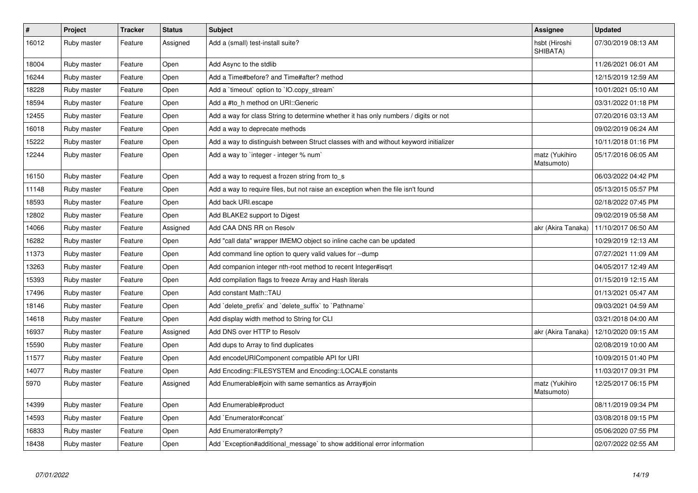| $\sharp$ | Project     | <b>Tracker</b> | <b>Status</b> | <b>Subject</b>                                                                       | Assignee                     | <b>Updated</b>      |
|----------|-------------|----------------|---------------|--------------------------------------------------------------------------------------|------------------------------|---------------------|
| 16012    | Ruby master | Feature        | Assigned      | Add a (small) test-install suite?                                                    | hsbt (Hiroshi<br>SHIBATA)    | 07/30/2019 08:13 AM |
| 18004    | Ruby master | Feature        | Open          | Add Async to the stdlib                                                              |                              | 11/26/2021 06:01 AM |
| 16244    | Ruby master | Feature        | Open          | Add a Time#before? and Time#after? method                                            |                              | 12/15/2019 12:59 AM |
| 18228    | Ruby master | Feature        | Open          | Add a 'timeout' option to 'IO.copy stream'                                           |                              | 10/01/2021 05:10 AM |
| 18594    | Ruby master | Feature        | Open          | Add a #to h method on URI:: Generic                                                  |                              | 03/31/2022 01:18 PM |
| 12455    | Ruby master | Feature        | Open          | Add a way for class String to determine whether it has only numbers / digits or not  |                              | 07/20/2016 03:13 AM |
| 16018    | Ruby master | Feature        | Open          | Add a way to deprecate methods                                                       |                              | 09/02/2019 06:24 AM |
| 15222    | Ruby master | Feature        | Open          | Add a way to distinguish between Struct classes with and without keyword initializer |                              | 10/11/2018 01:16 PM |
| 12244    | Ruby master | Feature        | Open          | Add a way to `integer - integer % num`                                               | matz (Yukihiro<br>Matsumoto) | 05/17/2016 06:05 AM |
| 16150    | Ruby master | Feature        | Open          | Add a way to request a frozen string from to s                                       |                              | 06/03/2022 04:42 PM |
| 11148    | Ruby master | Feature        | Open          | Add a way to require files, but not raise an exception when the file isn't found     |                              | 05/13/2015 05:57 PM |
| 18593    | Ruby master | Feature        | Open          | Add back URI.escape                                                                  |                              | 02/18/2022 07:45 PM |
| 12802    | Ruby master | Feature        | Open          | Add BLAKE2 support to Digest                                                         |                              | 09/02/2019 05:58 AM |
| 14066    | Ruby master | Feature        | Assigned      | Add CAA DNS RR on Resolv                                                             | akr (Akira Tanaka)           | 11/10/2017 06:50 AM |
| 16282    | Ruby master | Feature        | Open          | Add "call data" wrapper IMEMO object so inline cache can be updated                  |                              | 10/29/2019 12:13 AM |
| 11373    | Ruby master | Feature        | Open          | Add command line option to query valid values for --dump                             |                              | 07/27/2021 11:09 AM |
| 13263    | Ruby master | Feature        | Open          | Add companion integer nth-root method to recent Integer#isqrt                        |                              | 04/05/2017 12:49 AM |
| 15393    | Ruby master | Feature        | Open          | Add compilation flags to freeze Array and Hash literals                              |                              | 01/15/2019 12:15 AM |
| 17496    | Ruby master | Feature        | Open          | Add constant Math::TAU                                                               |                              | 01/13/2021 05:47 AM |
| 18146    | Ruby master | Feature        | Open          | Add `delete_prefix` and `delete_suffix` to `Pathname`                                |                              | 09/03/2021 04:59 AM |
| 14618    | Ruby master | Feature        | Open          | Add display width method to String for CLI                                           |                              | 03/21/2018 04:00 AM |
| 16937    | Ruby master | Feature        | Assigned      | Add DNS over HTTP to Resolv                                                          | akr (Akira Tanaka)           | 12/10/2020 09:15 AM |
| 15590    | Ruby master | Feature        | Open          | Add dups to Array to find duplicates                                                 |                              | 02/08/2019 10:00 AM |
| 11577    | Ruby master | Feature        | Open          | Add encodeURIComponent compatible API for URI                                        |                              | 10/09/2015 01:40 PM |
| 14077    | Ruby master | Feature        | Open          | Add Encoding::FILESYSTEM and Encoding::LOCALE constants                              |                              | 11/03/2017 09:31 PM |
| 5970     | Ruby master | Feature        | Assigned      | Add Enumerable#join with same semantics as Array#join                                | matz (Yukihiro<br>Matsumoto) | 12/25/2017 06:15 PM |
| 14399    | Ruby master | Feature        | Open          | Add Enumerable#product                                                               |                              | 08/11/2019 09:34 PM |
| 14593    | Ruby master | Feature        | Open          | Add `Enumerator#concat`                                                              |                              | 03/08/2018 09:15 PM |
| 16833    | Ruby master | Feature        | Open          | Add Enumerator#empty?                                                                |                              | 05/06/2020 07:55 PM |
| 18438    | Ruby master | Feature        | Open          | Add `Exception#additional message` to show additional error information              |                              | 02/07/2022 02:55 AM |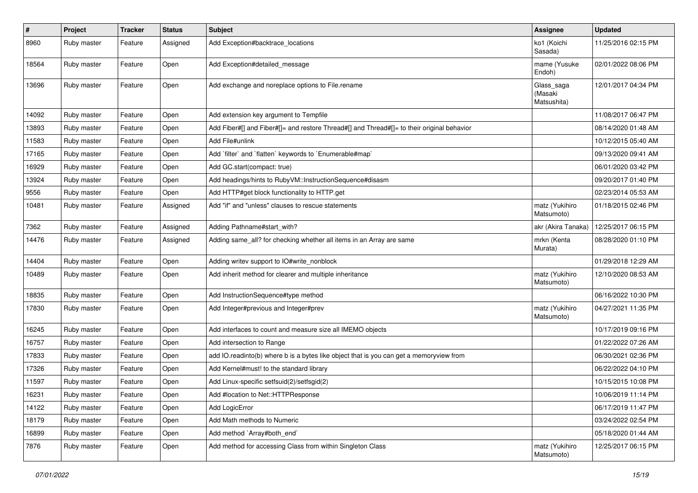| #     | Project     | <b>Tracker</b> | <b>Status</b> | <b>Subject</b>                                                                             | <b>Assignee</b>                      | <b>Updated</b>      |
|-------|-------------|----------------|---------------|--------------------------------------------------------------------------------------------|--------------------------------------|---------------------|
| 8960  | Ruby master | Feature        | Assigned      | Add Exception#backtrace_locations                                                          | ko1 (Koichi<br>Sasada)               | 11/25/2016 02:15 PM |
| 18564 | Ruby master | Feature        | Open          | Add Exception#detailed_message                                                             | mame (Yusuke<br>Endoh)               | 02/01/2022 08:06 PM |
| 13696 | Ruby master | Feature        | Open          | Add exchange and noreplace options to File.rename                                          | Glass_saga<br>(Masaki<br>Matsushita) | 12/01/2017 04:34 PM |
| 14092 | Ruby master | Feature        | Open          | Add extension key argument to Tempfile                                                     |                                      | 11/08/2017 06:47 PM |
| 13893 | Ruby master | Feature        | Open          | Add Fiber#[] and Fiber#[]= and restore Thread#[] and Thread#[]= to their original behavior |                                      | 08/14/2020 01:48 AM |
| 11583 | Ruby master | Feature        | Open          | Add File#unlink                                                                            |                                      | 10/12/2015 05:40 AM |
| 17165 | Ruby master | Feature        | Open          | Add `filter` and `flatten` keywords to `Enumerable#map`                                    |                                      | 09/13/2020 09:41 AM |
| 16929 | Ruby master | Feature        | Open          | Add GC.start(compact: true)                                                                |                                      | 06/01/2020 03:42 PM |
| 13924 | Ruby master | Feature        | Open          | Add headings/hints to RubyVM::InstructionSequence#disasm                                   |                                      | 09/20/2017 01:40 PM |
| 9556  | Ruby master | Feature        | Open          | Add HTTP#get block functionality to HTTP.get                                               |                                      | 02/23/2014 05:53 AM |
| 10481 | Ruby master | Feature        | Assigned      | Add "if" and "unless" clauses to rescue statements                                         | matz (Yukihiro<br>Matsumoto)         | 01/18/2015 02:46 PM |
| 7362  | Ruby master | Feature        | Assigned      | Adding Pathname#start_with?                                                                | akr (Akira Tanaka)                   | 12/25/2017 06:15 PM |
| 14476 | Ruby master | Feature        | Assigned      | Adding same_all? for checking whether all items in an Array are same                       | mrkn (Kenta<br>Murata)               | 08/28/2020 01:10 PM |
| 14404 | Ruby master | Feature        | Open          | Adding writev support to IO#write_nonblock                                                 |                                      | 01/29/2018 12:29 AM |
| 10489 | Ruby master | Feature        | Open          | Add inherit method for clearer and multiple inheritance                                    | matz (Yukihiro<br>Matsumoto)         | 12/10/2020 08:53 AM |
| 18835 | Ruby master | Feature        | Open          | Add InstructionSequence#type method                                                        |                                      | 06/16/2022 10:30 PM |
| 17830 | Ruby master | Feature        | Open          | Add Integer#previous and Integer#prev                                                      | matz (Yukihiro<br>Matsumoto)         | 04/27/2021 11:35 PM |
| 16245 | Ruby master | Feature        | Open          | Add interfaces to count and measure size all IMEMO objects                                 |                                      | 10/17/2019 09:16 PM |
| 16757 | Ruby master | Feature        | Open          | Add intersection to Range                                                                  |                                      | 01/22/2022 07:26 AM |
| 17833 | Ruby master | Feature        | Open          | add IO.readinto(b) where b is a bytes like object that is you can get a memoryview from    |                                      | 06/30/2021 02:36 PM |
| 17326 | Ruby master | Feature        | Open          | Add Kernel#must! to the standard library                                                   |                                      | 06/22/2022 04:10 PM |
| 11597 | Ruby master | Feature        | Open          | Add Linux-specific setfsuid(2)/setfsgid(2)                                                 |                                      | 10/15/2015 10:08 PM |
| 16231 | Ruby master | Feature        | Open          | Add #location to Net::HTTPResponse                                                         |                                      | 10/06/2019 11:14 PM |
| 14122 | Ruby master | Feature        | Open          | Add LogicError                                                                             |                                      | 06/17/2019 11:47 PM |
| 18179 | Ruby master | Feature        | Open          | Add Math methods to Numeric                                                                |                                      | 03/24/2022 02:54 PM |
| 16899 | Ruby master | Feature        | Open          | Add method `Array#both_end`                                                                |                                      | 05/18/2020 01:44 AM |
| 7876  | Ruby master | Feature        | Open          | Add method for accessing Class from within Singleton Class                                 | matz (Yukihiro<br>Matsumoto)         | 12/25/2017 06:15 PM |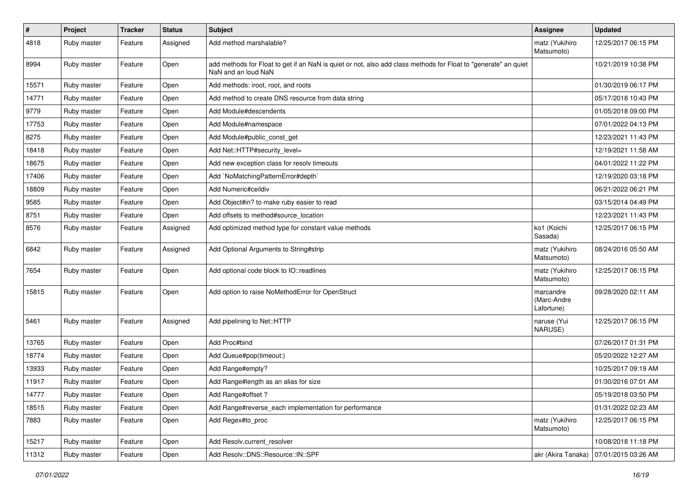| $\sharp$ | Project     | <b>Tracker</b> | <b>Status</b> | Subject                                                                                                                                | <b>Assignee</b>                        | <b>Updated</b>      |
|----------|-------------|----------------|---------------|----------------------------------------------------------------------------------------------------------------------------------------|----------------------------------------|---------------------|
| 4818     | Ruby master | Feature        | Assigned      | Add method marshalable?                                                                                                                | matz (Yukihiro<br>Matsumoto)           | 12/25/2017 06:15 PM |
| 8994     | Ruby master | Feature        | Open          | add methods for Float to get if an NaN is quiet or not, also add class methods for Float to "generate" an quiet<br>NaN and an loud NaN |                                        | 10/21/2019 10:38 PM |
| 15571    | Ruby master | Feature        | Open          | Add methods: iroot, root, and roots                                                                                                    |                                        | 01/30/2019 06:17 PM |
| 14771    | Ruby master | Feature        | Open          | Add method to create DNS resource from data string                                                                                     |                                        | 05/17/2018 10:43 PM |
| 9779     | Ruby master | Feature        | Open          | Add Module#descendents                                                                                                                 |                                        | 01/05/2018 09:00 PM |
| 17753    | Ruby master | Feature        | Open          | Add Module#namespace                                                                                                                   |                                        | 07/01/2022 04:13 PM |
| 8275     | Ruby master | Feature        | Open          | Add Module#public_const_get                                                                                                            |                                        | 12/23/2021 11:43 PM |
| 18418    | Ruby master | Feature        | Open          | Add Net::HTTP#security_level=                                                                                                          |                                        | 12/19/2021 11:58 AM |
| 18675    | Ruby master | Feature        | Open          | Add new exception class for resolv timeouts                                                                                            |                                        | 04/01/2022 11:22 PM |
| 17406    | Ruby master | Feature        | Open          | Add `NoMatchingPatternError#depth`                                                                                                     |                                        | 12/19/2020 03:18 PM |
| 18809    | Ruby master | Feature        | Open          | Add Numeric#ceildiv                                                                                                                    |                                        | 06/21/2022 06:21 PM |
| 9585     | Ruby master | Feature        | Open          | Add Object#in? to make ruby easier to read                                                                                             |                                        | 03/15/2014 04:49 PM |
| 8751     | Ruby master | Feature        | Open          | Add offsets to method#source_location                                                                                                  |                                        | 12/23/2021 11:43 PM |
| 8576     | Ruby master | Feature        | Assigned      | Add optimized method type for constant value methods                                                                                   | ko1 (Koichi<br>Sasada)                 | 12/25/2017 06:15 PM |
| 6842     | Ruby master | Feature        | Assigned      | Add Optional Arguments to String#strip                                                                                                 | matz (Yukihiro<br>Matsumoto)           | 08/24/2016 05:50 AM |
| 7654     | Ruby master | Feature        | Open          | Add optional code block to IO::readlines                                                                                               | matz (Yukihiro<br>Matsumoto)           | 12/25/2017 06:15 PM |
| 15815    | Ruby master | Feature        | Open          | Add option to raise NoMethodError for OpenStruct                                                                                       | marcandre<br>(Marc-Andre<br>Lafortune) | 09/28/2020 02:11 AM |
| 5461     | Ruby master | Feature        | Assigned      | Add pipelining to Net::HTTP                                                                                                            | naruse (Yui<br>NARUSE)                 | 12/25/2017 06:15 PM |
| 13765    | Ruby master | Feature        | Open          | Add Proc#bind                                                                                                                          |                                        | 07/26/2017 01:31 PM |
| 18774    | Ruby master | Feature        | Open          | Add Queue#pop(timeout:)                                                                                                                |                                        | 05/20/2022 12:27 AM |
| 13933    | Ruby master | Feature        | Open          | Add Range#empty?                                                                                                                       |                                        | 10/25/2017 09:19 AM |
| 11917    | Ruby master | Feature        | Open          | Add Range#length as an alias for size                                                                                                  |                                        | 01/30/2016 07:01 AM |
| 14777    | Ruby master | Feature        | Open          | Add Range#offset ?                                                                                                                     |                                        | 05/19/2018 03:50 PM |
| 18515    | Ruby master | Feature        | Open          | Add Range#reverse_each implementation for performance                                                                                  |                                        | 01/31/2022 02:23 AM |
| 7883     | Ruby master | Feature        | Open          | Add Regex#to_proc                                                                                                                      | matz (Yukihiro<br>Matsumoto)           | 12/25/2017 06:15 PM |
| 15217    | Ruby master | Feature        | Open          | Add Resolv.current_resolver                                                                                                            |                                        | 10/08/2018 11:18 PM |
| 11312    | Ruby master | Feature        | Open          | Add Resolv::DNS::Resource::IN::SPF                                                                                                     | akr (Akira Tanaka)                     | 07/01/2015 03:26 AM |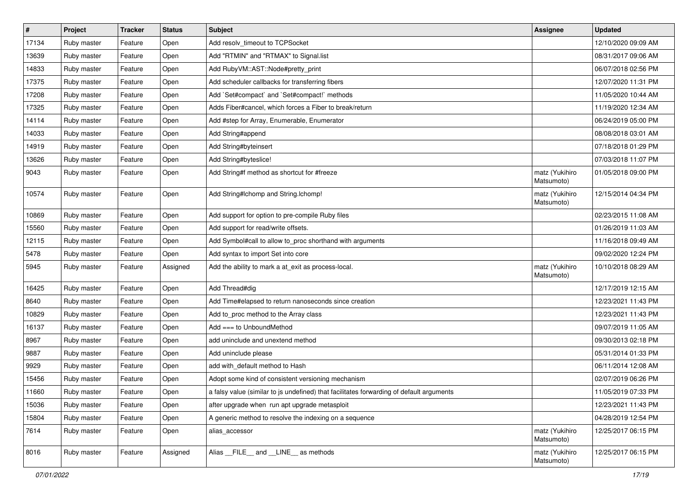| $\sharp$ | Project     | <b>Tracker</b> | <b>Status</b> | Subject                                                                                  | Assignee                     | <b>Updated</b>      |
|----------|-------------|----------------|---------------|------------------------------------------------------------------------------------------|------------------------------|---------------------|
| 17134    | Ruby master | Feature        | Open          | Add resolv_timeout to TCPSocket                                                          |                              | 12/10/2020 09:09 AM |
| 13639    | Ruby master | Feature        | Open          | Add "RTMIN" and "RTMAX" to Signal.list                                                   |                              | 08/31/2017 09:06 AM |
| 14833    | Ruby master | Feature        | Open          | Add Ruby VM:: AST:: Node#pretty_print                                                    |                              | 06/07/2018 02:56 PM |
| 17375    | Ruby master | Feature        | Open          | Add scheduler callbacks for transferring fibers                                          |                              | 12/07/2020 11:31 PM |
| 17208    | Ruby master | Feature        | Open          | Add `Set#compact` and `Set#compact!` methods                                             |                              | 11/05/2020 10:44 AM |
| 17325    | Ruby master | Feature        | Open          | Adds Fiber#cancel, which forces a Fiber to break/return                                  |                              | 11/19/2020 12:34 AM |
| 14114    | Ruby master | Feature        | Open          | Add #step for Array, Enumerable, Enumerator                                              |                              | 06/24/2019 05:00 PM |
| 14033    | Ruby master | Feature        | Open          | Add String#append                                                                        |                              | 08/08/2018 03:01 AM |
| 14919    | Ruby master | Feature        | Open          | Add String#byteinsert                                                                    |                              | 07/18/2018 01:29 PM |
| 13626    | Ruby master | Feature        | Open          | Add String#byteslice!                                                                    |                              | 07/03/2018 11:07 PM |
| 9043     | Ruby master | Feature        | Open          | Add String#f method as shortcut for #freeze                                              | matz (Yukihiro<br>Matsumoto) | 01/05/2018 09:00 PM |
| 10574    | Ruby master | Feature        | Open          | Add String#Ichomp and String.Ichomp!                                                     | matz (Yukihiro<br>Matsumoto) | 12/15/2014 04:34 PM |
| 10869    | Ruby master | Feature        | Open          | Add support for option to pre-compile Ruby files                                         |                              | 02/23/2015 11:08 AM |
| 15560    | Ruby master | Feature        | Open          | Add support for read/write offsets.                                                      |                              | 01/26/2019 11:03 AM |
| 12115    | Ruby master | Feature        | Open          | Add Symbol#call to allow to_proc shorthand with arguments                                |                              | 11/16/2018 09:49 AM |
| 5478     | Ruby master | Feature        | Open          | Add syntax to import Set into core                                                       |                              | 09/02/2020 12:24 PM |
| 5945     | Ruby master | Feature        | Assigned      | Add the ability to mark a at_exit as process-local.                                      | matz (Yukihiro<br>Matsumoto) | 10/10/2018 08:29 AM |
| 16425    | Ruby master | Feature        | Open          | Add Thread#dig                                                                           |                              | 12/17/2019 12:15 AM |
| 8640     | Ruby master | Feature        | Open          | Add Time#elapsed to return nanoseconds since creation                                    |                              | 12/23/2021 11:43 PM |
| 10829    | Ruby master | Feature        | Open          | Add to_proc method to the Array class                                                    |                              | 12/23/2021 11:43 PM |
| 16137    | Ruby master | Feature        | Open          | Add $==$ to UnboundMethod                                                                |                              | 09/07/2019 11:05 AM |
| 8967     | Ruby master | Feature        | Open          | add uninclude and unextend method                                                        |                              | 09/30/2013 02:18 PM |
| 9887     | Ruby master | Feature        | Open          | Add uninclude please                                                                     |                              | 05/31/2014 01:33 PM |
| 9929     | Ruby master | Feature        | Open          | add with_default method to Hash                                                          |                              | 06/11/2014 12:08 AM |
| 15456    | Ruby master | Feature        | Open          | Adopt some kind of consistent versioning mechanism                                       |                              | 02/07/2019 06:26 PM |
| 11660    | Ruby master | Feature        | Open          | a falsy value (similar to js undefined) that facilitates forwarding of default arguments |                              | 11/05/2019 07:33 PM |
| 15036    | Ruby master | Feature        | Open          | after upgrade when run apt upgrade metasploit                                            |                              | 12/23/2021 11:43 PM |
| 15804    | Ruby master | Feature        | Open          | A generic method to resolve the indexing on a sequence                                   |                              | 04/28/2019 12:54 PM |
| 7614     | Ruby master | Feature        | Open          | alias accessor                                                                           | matz (Yukihiro<br>Matsumoto) | 12/25/2017 06:15 PM |
| 8016     | Ruby master | Feature        | Assigned      | Alias _FILE_ and _LINE_ as methods                                                       | matz (Yukihiro<br>Matsumoto) | 12/25/2017 06:15 PM |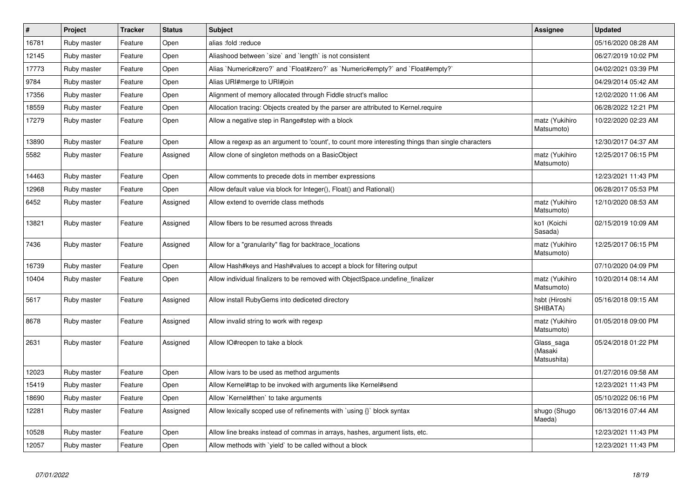| $\vert$ # | Project     | <b>Tracker</b> | <b>Status</b> | <b>Subject</b>                                                                                    | <b>Assignee</b>                      | <b>Updated</b>      |
|-----------|-------------|----------------|---------------|---------------------------------------------------------------------------------------------------|--------------------------------------|---------------------|
| 16781     | Ruby master | Feature        | Open          | alias :fold :reduce                                                                               |                                      | 05/16/2020 08:28 AM |
| 12145     | Ruby master | Feature        | Open          | Aliashood between 'size' and 'length' is not consistent                                           |                                      | 06/27/2019 10:02 PM |
| 17773     | Ruby master | Feature        | Open          | Alias `Numeric#zero?` and `Float#zero?` as `Numeric#empty?` and `Float#empty?`                    |                                      | 04/02/2021 03:39 PM |
| 9784      | Ruby master | Feature        | Open          | Alias URI#merge to URI#join                                                                       |                                      | 04/29/2014 05:42 AM |
| 17356     | Ruby master | Feature        | Open          | Alignment of memory allocated through Fiddle struct's malloc                                      |                                      | 12/02/2020 11:06 AM |
| 18559     | Ruby master | Feature        | Open          | Allocation tracing: Objects created by the parser are attributed to Kernel.require                |                                      | 06/28/2022 12:21 PM |
| 17279     | Ruby master | Feature        | Open          | Allow a negative step in Range#step with a block                                                  | matz (Yukihiro<br>Matsumoto)         | 10/22/2020 02:23 AM |
| 13890     | Ruby master | Feature        | Open          | Allow a regexp as an argument to 'count', to count more interesting things than single characters |                                      | 12/30/2017 04:37 AM |
| 5582      | Ruby master | Feature        | Assigned      | Allow clone of singleton methods on a BasicObject                                                 | matz (Yukihiro<br>Matsumoto)         | 12/25/2017 06:15 PM |
| 14463     | Ruby master | Feature        | Open          | Allow comments to precede dots in member expressions                                              |                                      | 12/23/2021 11:43 PM |
| 12968     | Ruby master | Feature        | Open          | Allow default value via block for Integer(), Float() and Rational()                               |                                      | 06/28/2017 05:53 PM |
| 6452      | Ruby master | Feature        | Assigned      | Allow extend to override class methods                                                            | matz (Yukihiro<br>Matsumoto)         | 12/10/2020 08:53 AM |
| 13821     | Ruby master | Feature        | Assigned      | Allow fibers to be resumed across threads                                                         | ko1 (Koichi<br>Sasada)               | 02/15/2019 10:09 AM |
| 7436      | Ruby master | Feature        | Assigned      | Allow for a "granularity" flag for backtrace locations                                            | matz (Yukihiro<br>Matsumoto)         | 12/25/2017 06:15 PM |
| 16739     | Ruby master | Feature        | Open          | Allow Hash#keys and Hash#values to accept a block for filtering output                            |                                      | 07/10/2020 04:09 PM |
| 10404     | Ruby master | Feature        | Open          | Allow individual finalizers to be removed with ObjectSpace.undefine_finalizer                     | matz (Yukihiro<br>Matsumoto)         | 10/20/2014 08:14 AM |
| 5617      | Ruby master | Feature        | Assigned      | Allow install RubyGems into dediceted directory                                                   | hsbt (Hiroshi<br>SHIBATA)            | 05/16/2018 09:15 AM |
| 8678      | Ruby master | Feature        | Assigned      | Allow invalid string to work with regexp                                                          | matz (Yukihiro<br>Matsumoto)         | 01/05/2018 09:00 PM |
| 2631      | Ruby master | Feature        | Assigned      | Allow IO#reopen to take a block                                                                   | Glass_saga<br>(Masaki<br>Matsushita) | 05/24/2018 01:22 PM |
| 12023     | Ruby master | Feature        | Open          | Allow ivars to be used as method arguments                                                        |                                      | 01/27/2016 09:58 AM |
| 15419     | Ruby master | Feature        | Open          | Allow Kernel#tap to be invoked with arguments like Kernel#send                                    |                                      | 12/23/2021 11:43 PM |
| 18690     | Ruby master | Feature        | Open          | Allow `Kernel#then` to take arguments                                                             |                                      | 05/10/2022 06:16 PM |
| 12281     | Ruby master | Feature        | Assigned      | Allow lexically scoped use of refinements with `using {}` block syntax                            | shugo (Shugo<br>Maeda)               | 06/13/2016 07:44 AM |
| 10528     | Ruby master | Feature        | Open          | Allow line breaks instead of commas in arrays, hashes, argument lists, etc.                       |                                      | 12/23/2021 11:43 PM |
| 12057     | Ruby master | Feature        | Open          | Allow methods with `yield` to be called without a block                                           |                                      | 12/23/2021 11:43 PM |